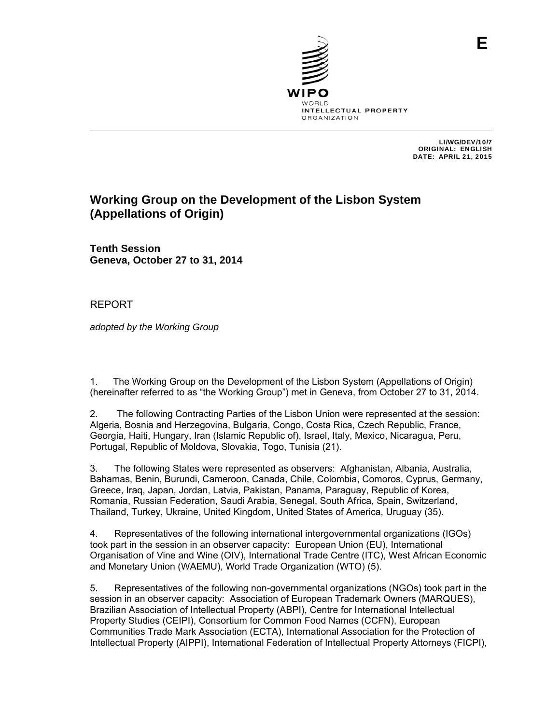

 LI/WG/DEV/10/7 ORIGINAL: ENGLISH DATE: APRIL 21, 2015

# **Working Group on the Development of the Lisbon System (Appellations of Origin)**

**Tenth Session Geneva, October 27 to 31, 2014**

REPORT

*adopted by the Working Group* 

1. The Working Group on the Development of the Lisbon System (Appellations of Origin) (hereinafter referred to as "the Working Group") met in Geneva, from October 27 to 31, 2014.

2. The following Contracting Parties of the Lisbon Union were represented at the session: Algeria, Bosnia and Herzegovina, Bulgaria, Congo, Costa Rica, Czech Republic, France, Georgia, Haiti, Hungary, Iran (Islamic Republic of), Israel, Italy, Mexico, Nicaragua, Peru, Portugal, Republic of Moldova, Slovakia, Togo, Tunisia (21).

3. The following States were represented as observers: Afghanistan, Albania, Australia, Bahamas, Benin, Burundi, Cameroon, Canada, Chile, Colombia, Comoros, Cyprus, Germany, Greece, Iraq, Japan, Jordan, Latvia, Pakistan, Panama, Paraguay, Republic of Korea, Romania, Russian Federation, Saudi Arabia, Senegal, South Africa, Spain, Switzerland, Thailand, Turkey, Ukraine, United Kingdom, United States of America, Uruguay (35).

4. Representatives of the following international intergovernmental organizations (IGOs) took part in the session in an observer capacity: European Union (EU), International Organisation of Vine and Wine (OIV), International Trade Centre (ITC), West African Economic and Monetary Union (WAEMU), World Trade Organization (WTO) (5).

5. Representatives of the following non-governmental organizations (NGOs) took part in the session in an observer capacity: Association of European Trademark Owners (MARQUES), Brazilian Association of Intellectual Property (ABPI), Centre for International Intellectual Property Studies (CEIPI), Consortium for Common Food Names (CCFN), European Communities Trade Mark Association (ECTA), International Association for the Protection of Intellectual Property (AIPPI), International Federation of Intellectual Property Attorneys (FICPI),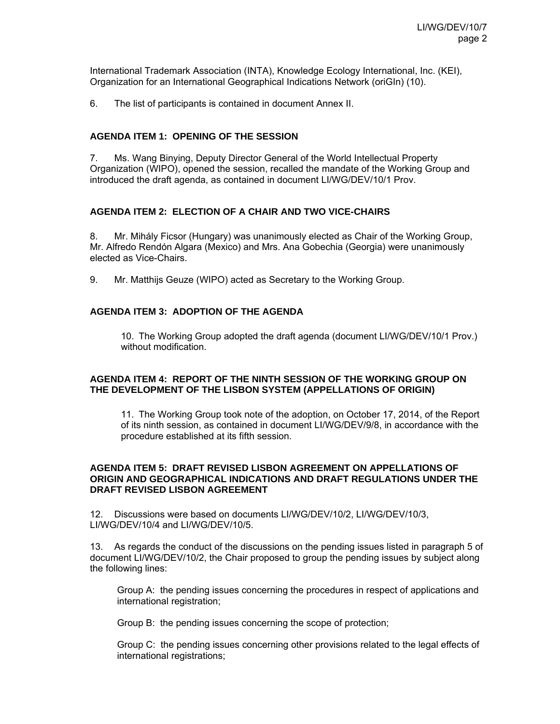International Trademark Association (INTA), Knowledge Ecology International, Inc. (KEI), Organization for an International Geographical Indications Network (oriGIn) (10).

6. The list of participants is contained in document Annex II.

# **AGENDA ITEM 1: OPENING OF THE SESSION**

7. Ms. Wang Binying, Deputy Director General of the World Intellectual Property Organization (WIPO), opened the session, recalled the mandate of the Working Group and introduced the draft agenda, as contained in document LI/WG/DEV/10/1 Prov.

# **AGENDA ITEM 2: ELECTION OF A CHAIR AND TWO VICE-CHAIRS**

8. Mr. Mihály Ficsor (Hungary) was unanimously elected as Chair of the Working Group, Mr. Alfredo Rendón Algara (Mexico) and Mrs. Ana Gobechia (Georgia) were unanimously elected as Vice-Chairs.

9. Mr. Matthijs Geuze (WIPO) acted as Secretary to the Working Group.

# **AGENDA ITEM 3: ADOPTION OF THE AGENDA**

 10. The Working Group adopted the draft agenda (document LI/WG/DEV/10/1 Prov.) without modification.

# **AGENDA ITEM 4: REPORT OF THE NINTH SESSION OF THE WORKING GROUP ON THE DEVELOPMENT OF THE LISBON SYSTEM (APPELLATIONS OF ORIGIN)**

11. The Working Group took note of the adoption, on October 17, 2014, of the Report of its ninth session, as contained in document LI/WG/DEV/9/8, in accordance with the procedure established at its fifth session.

### **AGENDA ITEM 5: DRAFT REVISED LISBON AGREEMENT ON APPELLATIONS OF ORIGIN AND GEOGRAPHICAL INDICATIONS AND DRAFT REGULATIONS UNDER THE DRAFT REVISED LISBON AGREEMENT**

12. Discussions were based on documents LI/WG/DEV/10/2, LI/WG/DEV/10/3, LI/WG/DEV/10/4 and LI/WG/DEV/10/5.

13. As regards the conduct of the discussions on the pending issues listed in paragraph 5 of document LI/WG/DEV/10/2, the Chair proposed to group the pending issues by subject along the following lines:

Group A: the pending issues concerning the procedures in respect of applications and international registration;

Group B: the pending issues concerning the scope of protection;

Group C: the pending issues concerning other provisions related to the legal effects of international registrations;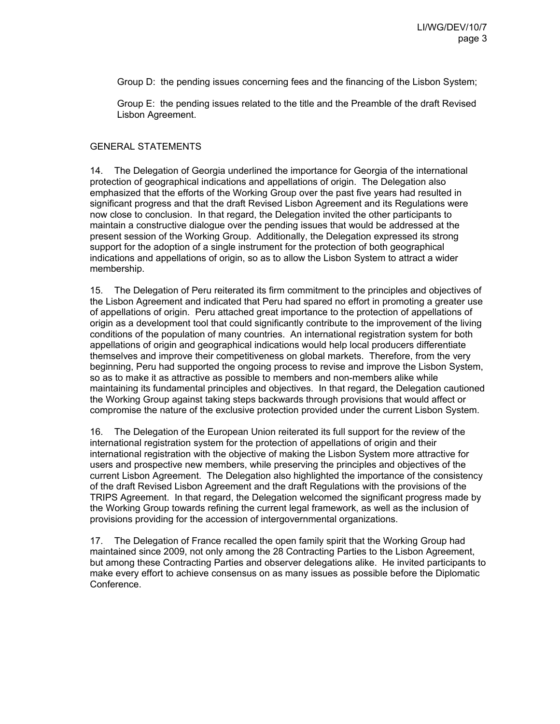Group D: the pending issues concerning fees and the financing of the Lisbon System;

Group E: the pending issues related to the title and the Preamble of the draft Revised Lisbon Agreement.

# GENERAL STATEMENTS

14. The Delegation of Georgia underlined the importance for Georgia of the international protection of geographical indications and appellations of origin. The Delegation also emphasized that the efforts of the Working Group over the past five years had resulted in significant progress and that the draft Revised Lisbon Agreement and its Regulations were now close to conclusion. In that regard, the Delegation invited the other participants to maintain a constructive dialogue over the pending issues that would be addressed at the present session of the Working Group. Additionally, the Delegation expressed its strong support for the adoption of a single instrument for the protection of both geographical indications and appellations of origin, so as to allow the Lisbon System to attract a wider membership.

15. The Delegation of Peru reiterated its firm commitment to the principles and objectives of the Lisbon Agreement and indicated that Peru had spared no effort in promoting a greater use of appellations of origin. Peru attached great importance to the protection of appellations of origin as a development tool that could significantly contribute to the improvement of the living conditions of the population of many countries. An international registration system for both appellations of origin and geographical indications would help local producers differentiate themselves and improve their competitiveness on global markets. Therefore, from the very beginning, Peru had supported the ongoing process to revise and improve the Lisbon System, so as to make it as attractive as possible to members and non-members alike while maintaining its fundamental principles and objectives. In that regard, the Delegation cautioned the Working Group against taking steps backwards through provisions that would affect or compromise the nature of the exclusive protection provided under the current Lisbon System.

16. The Delegation of the European Union reiterated its full support for the review of the international registration system for the protection of appellations of origin and their international registration with the objective of making the Lisbon System more attractive for users and prospective new members, while preserving the principles and objectives of the current Lisbon Agreement. The Delegation also highlighted the importance of the consistency of the draft Revised Lisbon Agreement and the draft Regulations with the provisions of the TRIPS Agreement. In that regard, the Delegation welcomed the significant progress made by the Working Group towards refining the current legal framework, as well as the inclusion of provisions providing for the accession of intergovernmental organizations.

17. The Delegation of France recalled the open family spirit that the Working Group had maintained since 2009, not only among the 28 Contracting Parties to the Lisbon Agreement, but among these Contracting Parties and observer delegations alike. He invited participants to make every effort to achieve consensus on as many issues as possible before the Diplomatic Conference.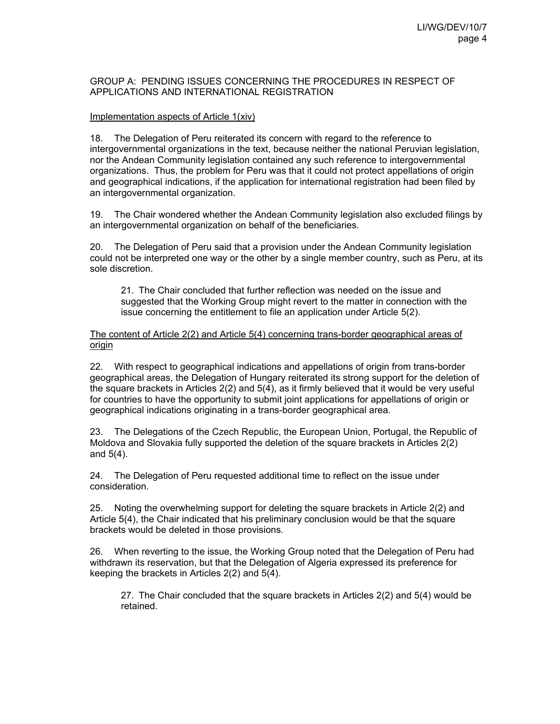### GROUP A: PENDING ISSUES CONCERNING THE PROCEDURES IN RESPECT OF APPLICATIONS AND INTERNATIONAL REGISTRATION

### Implementation aspects of Article 1(xiv)

18. The Delegation of Peru reiterated its concern with regard to the reference to intergovernmental organizations in the text, because neither the national Peruvian legislation, nor the Andean Community legislation contained any such reference to intergovernmental organizations. Thus, the problem for Peru was that it could not protect appellations of origin and geographical indications, if the application for international registration had been filed by an intergovernmental organization.

19. The Chair wondered whether the Andean Community legislation also excluded filings by an intergovernmental organization on behalf of the beneficiaries.

20. The Delegation of Peru said that a provision under the Andean Community legislation could not be interpreted one way or the other by a single member country, such as Peru, at its sole discretion.

21. The Chair concluded that further reflection was needed on the issue and suggested that the Working Group might revert to the matter in connection with the issue concerning the entitlement to file an application under Article 5(2).

### The content of Article 2(2) and Article 5(4) concerning trans-border geographical areas of origin

22. With respect to geographical indications and appellations of origin from trans-border geographical areas, the Delegation of Hungary reiterated its strong support for the deletion of the square brackets in Articles 2(2) and 5(4), as it firmly believed that it would be very useful for countries to have the opportunity to submit joint applications for appellations of origin or geographical indications originating in a trans-border geographical area.

23. The Delegations of the Czech Republic, the European Union, Portugal, the Republic of Moldova and Slovakia fully supported the deletion of the square brackets in Articles 2(2) and 5(4).

24. The Delegation of Peru requested additional time to reflect on the issue under consideration.

25. Noting the overwhelming support for deleting the square brackets in Article 2(2) and Article 5(4), the Chair indicated that his preliminary conclusion would be that the square brackets would be deleted in those provisions.

26. When reverting to the issue, the Working Group noted that the Delegation of Peru had withdrawn its reservation, but that the Delegation of Algeria expressed its preference for keeping the brackets in Articles 2(2) and 5(4).

27. The Chair concluded that the square brackets in Articles 2(2) and 5(4) would be retained.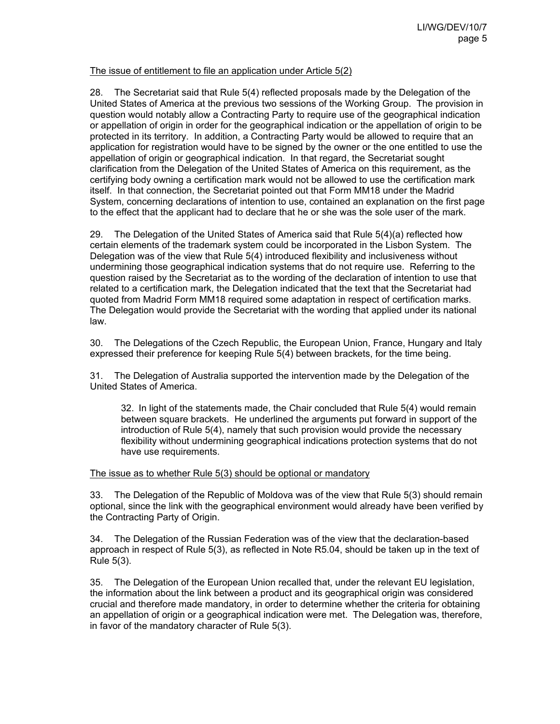# The issue of entitlement to file an application under Article 5(2)

28. The Secretariat said that Rule 5(4) reflected proposals made by the Delegation of the United States of America at the previous two sessions of the Working Group. The provision in question would notably allow a Contracting Party to require use of the geographical indication or appellation of origin in order for the geographical indication or the appellation of origin to be protected in its territory. In addition, a Contracting Party would be allowed to require that an application for registration would have to be signed by the owner or the one entitled to use the appellation of origin or geographical indication. In that regard, the Secretariat sought clarification from the Delegation of the United States of America on this requirement, as the certifying body owning a certification mark would not be allowed to use the certification mark itself. In that connection, the Secretariat pointed out that Form MM18 under the Madrid System, concerning declarations of intention to use, contained an explanation on the first page to the effect that the applicant had to declare that he or she was the sole user of the mark.

29. The Delegation of the United States of America said that Rule 5(4)(a) reflected how certain elements of the trademark system could be incorporated in the Lisbon System. The Delegation was of the view that Rule 5(4) introduced flexibility and inclusiveness without undermining those geographical indication systems that do not require use. Referring to the question raised by the Secretariat as to the wording of the declaration of intention to use that related to a certification mark, the Delegation indicated that the text that the Secretariat had quoted from Madrid Form MM18 required some adaptation in respect of certification marks. The Delegation would provide the Secretariat with the wording that applied under its national law.

30. The Delegations of the Czech Republic, the European Union, France, Hungary and Italy expressed their preference for keeping Rule 5(4) between brackets, for the time being.

31. The Delegation of Australia supported the intervention made by the Delegation of the United States of America.

32. In light of the statements made, the Chair concluded that Rule 5(4) would remain between square brackets. He underlined the arguments put forward in support of the introduction of Rule 5(4), namely that such provision would provide the necessary flexibility without undermining geographical indications protection systems that do not have use requirements.

### The issue as to whether Rule 5(3) should be optional or mandatory

33. The Delegation of the Republic of Moldova was of the view that Rule 5(3) should remain optional, since the link with the geographical environment would already have been verified by the Contracting Party of Origin.

34. The Delegation of the Russian Federation was of the view that the declaration-based approach in respect of Rule 5(3), as reflected in Note R5.04, should be taken up in the text of Rule 5(3).

35. The Delegation of the European Union recalled that, under the relevant EU legislation, the information about the link between a product and its geographical origin was considered crucial and therefore made mandatory, in order to determine whether the criteria for obtaining an appellation of origin or a geographical indication were met. The Delegation was, therefore, in favor of the mandatory character of Rule 5(3).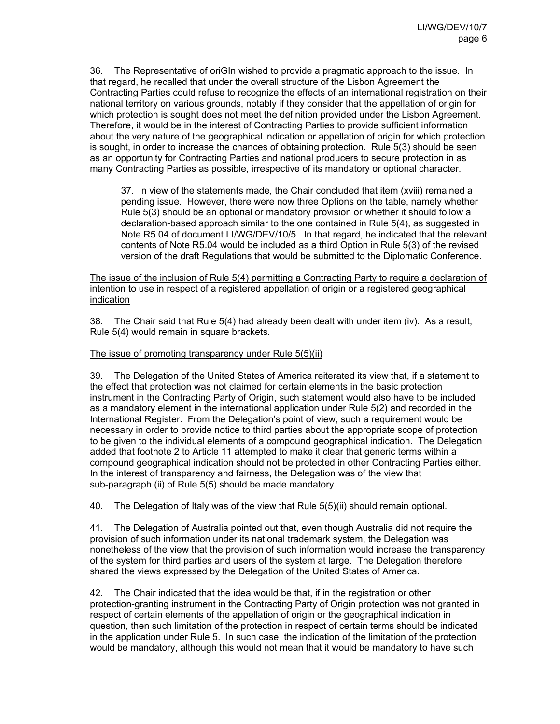36. The Representative of oriGIn wished to provide a pragmatic approach to the issue. In that regard, he recalled that under the overall structure of the Lisbon Agreement the Contracting Parties could refuse to recognize the effects of an international registration on their national territory on various grounds, notably if they consider that the appellation of origin for which protection is sought does not meet the definition provided under the Lisbon Agreement. Therefore, it would be in the interest of Contracting Parties to provide sufficient information about the very nature of the geographical indication or appellation of origin for which protection is sought, in order to increase the chances of obtaining protection. Rule 5(3) should be seen as an opportunity for Contracting Parties and national producers to secure protection in as many Contracting Parties as possible, irrespective of its mandatory or optional character.

37. In view of the statements made, the Chair concluded that item (xviii) remained a pending issue. However, there were now three Options on the table, namely whether Rule 5(3) should be an optional or mandatory provision or whether it should follow a declaration-based approach similar to the one contained in Rule 5(4), as suggested in Note R5.04 of document LI/WG/DEV/10/5. In that regard, he indicated that the relevant contents of Note R5.04 would be included as a third Option in Rule 5(3) of the revised version of the draft Regulations that would be submitted to the Diplomatic Conference.

The issue of the inclusion of Rule 5(4) permitting a Contracting Party to require a declaration of intention to use in respect of a registered appellation of origin or a registered geographical indication

38. The Chair said that Rule 5(4) had already been dealt with under item (iv). As a result, Rule 5(4) would remain in square brackets.

### The issue of promoting transparency under Rule 5(5)(ii)

39. The Delegation of the United States of America reiterated its view that, if a statement to the effect that protection was not claimed for certain elements in the basic protection instrument in the Contracting Party of Origin, such statement would also have to be included as a mandatory element in the international application under Rule 5(2) and recorded in the International Register. From the Delegation's point of view, such a requirement would be necessary in order to provide notice to third parties about the appropriate scope of protection to be given to the individual elements of a compound geographical indication. The Delegation added that footnote 2 to Article 11 attempted to make it clear that generic terms within a compound geographical indication should not be protected in other Contracting Parties either. In the interest of transparency and fairness, the Delegation was of the view that sub-paragraph (ii) of Rule 5(5) should be made mandatory.

40. The Delegation of Italy was of the view that Rule 5(5)(ii) should remain optional.

41. The Delegation of Australia pointed out that, even though Australia did not require the provision of such information under its national trademark system, the Delegation was nonetheless of the view that the provision of such information would increase the transparency of the system for third parties and users of the system at large. The Delegation therefore shared the views expressed by the Delegation of the United States of America.

42. The Chair indicated that the idea would be that, if in the registration or other protection-granting instrument in the Contracting Party of Origin protection was not granted in respect of certain elements of the appellation of origin or the geographical indication in question, then such limitation of the protection in respect of certain terms should be indicated in the application under Rule 5. In such case, the indication of the limitation of the protection would be mandatory, although this would not mean that it would be mandatory to have such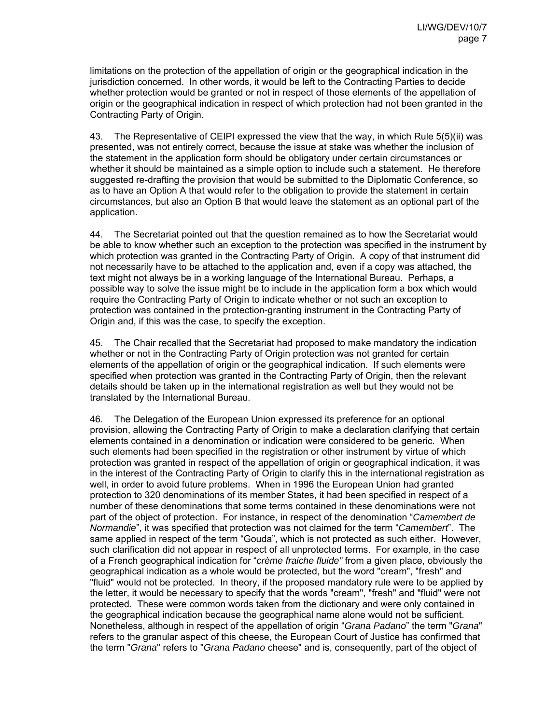limitations on the protection of the appellation of origin or the geographical indication in the jurisdiction concerned. In other words, it would be left to the Contracting Parties to decide whether protection would be granted or not in respect of those elements of the appellation of origin or the geographical indication in respect of which protection had not been granted in the Contracting Party of Origin.

43. The Representative of CEIPI expressed the view that the way, in which Rule 5(5)(ii) was presented, was not entirely correct, because the issue at stake was whether the inclusion of the statement in the application form should be obligatory under certain circumstances or whether it should be maintained as a simple option to include such a statement. He therefore suggested re-drafting the provision that would be submitted to the Diplomatic Conference, so as to have an Option A that would refer to the obligation to provide the statement in certain circumstances, but also an Option B that would leave the statement as an optional part of the application.

44. The Secretariat pointed out that the question remained as to how the Secretariat would be able to know whether such an exception to the protection was specified in the instrument by which protection was granted in the Contracting Party of Origin. A copy of that instrument did not necessarily have to be attached to the application and, even if a copy was attached, the text might not always be in a working language of the International Bureau. Perhaps, a possible way to solve the issue might be to include in the application form a box which would require the Contracting Party of Origin to indicate whether or not such an exception to protection was contained in the protection-granting instrument in the Contracting Party of Origin and, if this was the case, to specify the exception.

45. The Chair recalled that the Secretariat had proposed to make mandatory the indication whether or not in the Contracting Party of Origin protection was not granted for certain elements of the appellation of origin or the geographical indication. If such elements were specified when protection was granted in the Contracting Party of Origin, then the relevant details should be taken up in the international registration as well but they would not be translated by the International Bureau.

46. The Delegation of the European Union expressed its preference for an optional provision, allowing the Contracting Party of Origin to make a declaration clarifying that certain elements contained in a denomination or indication were considered to be generic. When such elements had been specified in the registration or other instrument by virtue of which protection was granted in respect of the appellation of origin or geographical indication, it was in the interest of the Contracting Party of Origin to clarify this in the international registration as well, in order to avoid future problems. When in 1996 the European Union had granted protection to 320 denominations of its member States, it had been specified in respect of a number of these denominations that some terms contained in these denominations were not part of the object of protection. For instance, in respect of the denomination "*Camembert de Normandie*", it was specified that protection was not claimed for the term "*Camembert*". The same applied in respect of the term "Gouda", which is not protected as such either. However, such clarification did not appear in respect of all unprotected terms. For example, in the case of a French geographical indication for "*crème fraiche fluide"* from a given place, obviously the geographical indication as a whole would be protected, but the word "cream", "fresh" and "fluid" would not be protected. In theory, if the proposed mandatory rule were to be applied by the letter, it would be necessary to specify that the words "cream", "fresh" and "fluid" were not protected. These were common words taken from the dictionary and were only contained in the geographical indication because the geographical name alone would not be sufficient. Nonetheless, although in respect of the appellation of origin "*Grana Padano*" the term "*Grana*" refers to the granular aspect of this cheese, the European Court of Justice has confirmed that the term "*Grana*" refers to "*Grana Padano* cheese" and is, consequently, part of the object of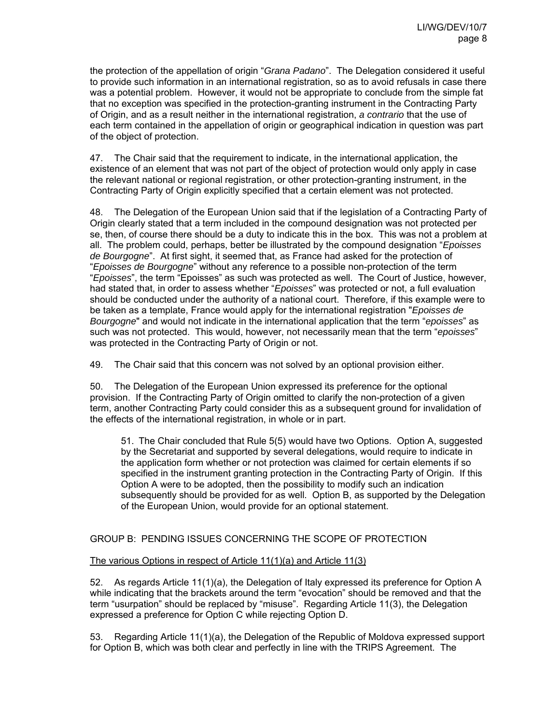the protection of the appellation of origin "*Grana Padano*". The Delegation considered it useful to provide such information in an international registration, so as to avoid refusals in case there was a potential problem. However, it would not be appropriate to conclude from the simple fat that no exception was specified in the protection-granting instrument in the Contracting Party of Origin, and as a result neither in the international registration, *a contrario* that the use of each term contained in the appellation of origin or geographical indication in question was part of the object of protection.

47. The Chair said that the requirement to indicate, in the international application, the existence of an element that was not part of the object of protection would only apply in case the relevant national or regional registration, or other protection-granting instrument, in the Contracting Party of Origin explicitly specified that a certain element was not protected.

48. The Delegation of the European Union said that if the legislation of a Contracting Party of Origin clearly stated that a term included in the compound designation was not protected per se, then, of course there should be a duty to indicate this in the box. This was not a problem at all. The problem could, perhaps, better be illustrated by the compound designation "*Epoisses de Bourgogne*". At first sight, it seemed that, as France had asked for the protection of "*Epoisses de Bourgogne*" without any reference to a possible non-protection of the term "*Epoisses*", the term "Epoisses" as such was protected as well. The Court of Justice, however, had stated that, in order to assess whether "*Epoisses*" was protected or not, a full evaluation should be conducted under the authority of a national court. Therefore, if this example were to be taken as a template, France would apply for the international registration "*Epoisses de Bourgogne*" and would not indicate in the international application that the term "*epoisses*" as such was not protected. This would, however, not necessarily mean that the term "*epoisses*" was protected in the Contracting Party of Origin or not.

49. The Chair said that this concern was not solved by an optional provision either.

50. The Delegation of the European Union expressed its preference for the optional provision. If the Contracting Party of Origin omitted to clarify the non-protection of a given term, another Contracting Party could consider this as a subsequent ground for invalidation of the effects of the international registration, in whole or in part.

51. The Chair concluded that Rule 5(5) would have two Options. Option A, suggested by the Secretariat and supported by several delegations, would require to indicate in the application form whether or not protection was claimed for certain elements if so specified in the instrument granting protection in the Contracting Party of Origin. If this Option A were to be adopted, then the possibility to modify such an indication subsequently should be provided for as well. Option B, as supported by the Delegation of the European Union, would provide for an optional statement.

# GROUP B: PENDING ISSUES CONCERNING THE SCOPE OF PROTECTION

# The various Options in respect of Article 11(1)(a) and Article 11(3)

52. As regards Article 11(1)(a), the Delegation of Italy expressed its preference for Option A while indicating that the brackets around the term "evocation" should be removed and that the term "usurpation" should be replaced by "misuse". Regarding Article 11(3), the Delegation expressed a preference for Option C while rejecting Option D.

53. Regarding Article 11(1)(a), the Delegation of the Republic of Moldova expressed support for Option B, which was both clear and perfectly in line with the TRIPS Agreement. The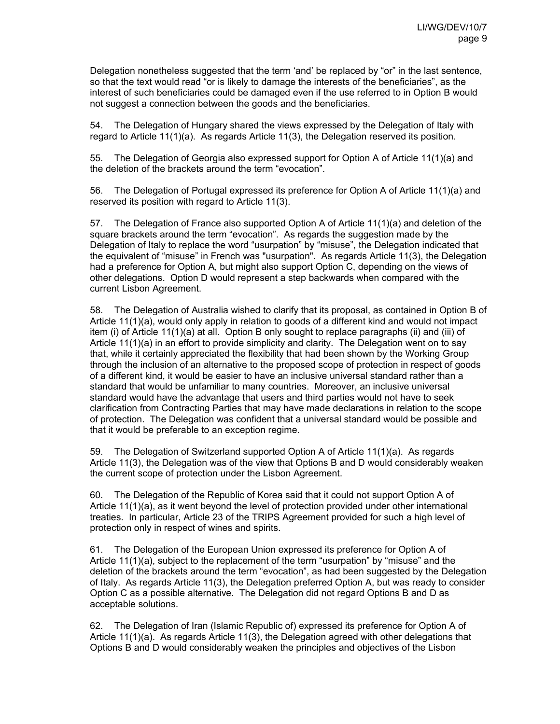Delegation nonetheless suggested that the term 'and' be replaced by "or" in the last sentence, so that the text would read "or is likely to damage the interests of the beneficiaries", as the interest of such beneficiaries could be damaged even if the use referred to in Option B would not suggest a connection between the goods and the beneficiaries.

54. The Delegation of Hungary shared the views expressed by the Delegation of Italy with regard to Article 11(1)(a). As regards Article 11(3), the Delegation reserved its position.

55. The Delegation of Georgia also expressed support for Option A of Article 11(1)(a) and the deletion of the brackets around the term "evocation".

56. The Delegation of Portugal expressed its preference for Option A of Article 11(1)(a) and reserved its position with regard to Article 11(3).

57. The Delegation of France also supported Option A of Article 11(1)(a) and deletion of the square brackets around the term "evocation". As regards the suggestion made by the Delegation of Italy to replace the word "usurpation" by "misuse", the Delegation indicated that the equivalent of "misuse" in French was "usurpation". As regards Article 11(3), the Delegation had a preference for Option A, but might also support Option C, depending on the views of other delegations. Option D would represent a step backwards when compared with the current Lisbon Agreement.

58. The Delegation of Australia wished to clarify that its proposal, as contained in Option B of Article 11(1)(a), would only apply in relation to goods of a different kind and would not impact item (i) of Article 11(1)(a) at all. Option B only sought to replace paragraphs (ii) and (iii) of Article 11(1)(a) in an effort to provide simplicity and clarity. The Delegation went on to say that, while it certainly appreciated the flexibility that had been shown by the Working Group through the inclusion of an alternative to the proposed scope of protection in respect of goods of a different kind, it would be easier to have an inclusive universal standard rather than a standard that would be unfamiliar to many countries. Moreover, an inclusive universal standard would have the advantage that users and third parties would not have to seek clarification from Contracting Parties that may have made declarations in relation to the scope of protection. The Delegation was confident that a universal standard would be possible and that it would be preferable to an exception regime.

59. The Delegation of Switzerland supported Option A of Article 11(1)(a). As regards Article 11(3), the Delegation was of the view that Options B and D would considerably weaken the current scope of protection under the Lisbon Agreement.

60. The Delegation of the Republic of Korea said that it could not support Option A of Article 11(1)(a), as it went beyond the level of protection provided under other international treaties. In particular, Article 23 of the TRIPS Agreement provided for such a high level of protection only in respect of wines and spirits.

61. The Delegation of the European Union expressed its preference for Option A of Article 11(1)(a), subject to the replacement of the term "usurpation" by "misuse" and the deletion of the brackets around the term "evocation", as had been suggested by the Delegation of Italy. As regards Article 11(3), the Delegation preferred Option A, but was ready to consider Option C as a possible alternative. The Delegation did not regard Options B and D as acceptable solutions.

62. The Delegation of Iran (Islamic Republic of) expressed its preference for Option A of Article 11(1)(a). As regards Article 11(3), the Delegation agreed with other delegations that Options B and D would considerably weaken the principles and objectives of the Lisbon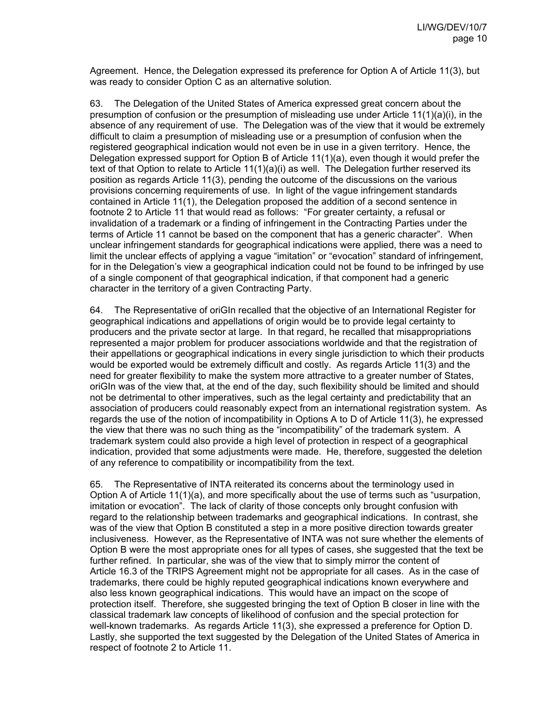Agreement. Hence, the Delegation expressed its preference for Option A of Article 11(3), but was ready to consider Option C as an alternative solution.

63. The Delegation of the United States of America expressed great concern about the presumption of confusion or the presumption of misleading use under Article 11(1)(a)(i), in the absence of any requirement of use. The Delegation was of the view that it would be extremely difficult to claim a presumption of misleading use or a presumption of confusion when the registered geographical indication would not even be in use in a given territory. Hence, the Delegation expressed support for Option B of Article 11(1)(a), even though it would prefer the text of that Option to relate to Article 11(1)(a)(i) as well. The Delegation further reserved its position as regards Article 11(3), pending the outcome of the discussions on the various provisions concerning requirements of use. In light of the vague infringement standards contained in Article 11(1), the Delegation proposed the addition of a second sentence in footnote 2 to Article 11 that would read as follows: "For greater certainty, a refusal or invalidation of a trademark or a finding of infringement in the Contracting Parties under the terms of Article 11 cannot be based on the component that has a generic character". When unclear infringement standards for geographical indications were applied, there was a need to limit the unclear effects of applying a vague "imitation" or "evocation" standard of infringement, for in the Delegation's view a geographical indication could not be found to be infringed by use of a single component of that geographical indication, if that component had a generic character in the territory of a given Contracting Party.

64. The Representative of oriGIn recalled that the objective of an International Register for geographical indications and appellations of origin would be to provide legal certainty to producers and the private sector at large. In that regard, he recalled that misappropriations represented a major problem for producer associations worldwide and that the registration of their appellations or geographical indications in every single jurisdiction to which their products would be exported would be extremely difficult and costly. As regards Article 11(3) and the need for greater flexibility to make the system more attractive to a greater number of States, oriGIn was of the view that, at the end of the day, such flexibility should be limited and should not be detrimental to other imperatives, such as the legal certainty and predictability that an association of producers could reasonably expect from an international registration system. As regards the use of the notion of incompatibility in Options A to D of Article 11(3), he expressed the view that there was no such thing as the "incompatibility" of the trademark system. A trademark system could also provide a high level of protection in respect of a geographical indication, provided that some adjustments were made. He, therefore, suggested the deletion of any reference to compatibility or incompatibility from the text.

65. The Representative of INTA reiterated its concerns about the terminology used in Option A of Article 11(1)(a), and more specifically about the use of terms such as "usurpation, imitation or evocation". The lack of clarity of those concepts only brought confusion with regard to the relationship between trademarks and geographical indications. In contrast, she was of the view that Option B constituted a step in a more positive direction towards greater inclusiveness. However, as the Representative of INTA was not sure whether the elements of Option B were the most appropriate ones for all types of cases, she suggested that the text be further refined. In particular, she was of the view that to simply mirror the content of Article 16.3 of the TRIPS Agreement might not be appropriate for all cases. As in the case of trademarks, there could be highly reputed geographical indications known everywhere and also less known geographical indications. This would have an impact on the scope of protection itself. Therefore, she suggested bringing the text of Option B closer in line with the classical trademark law concepts of likelihood of confusion and the special protection for well-known trademarks. As regards Article 11(3), she expressed a preference for Option D. Lastly, she supported the text suggested by the Delegation of the United States of America in respect of footnote 2 to Article 11.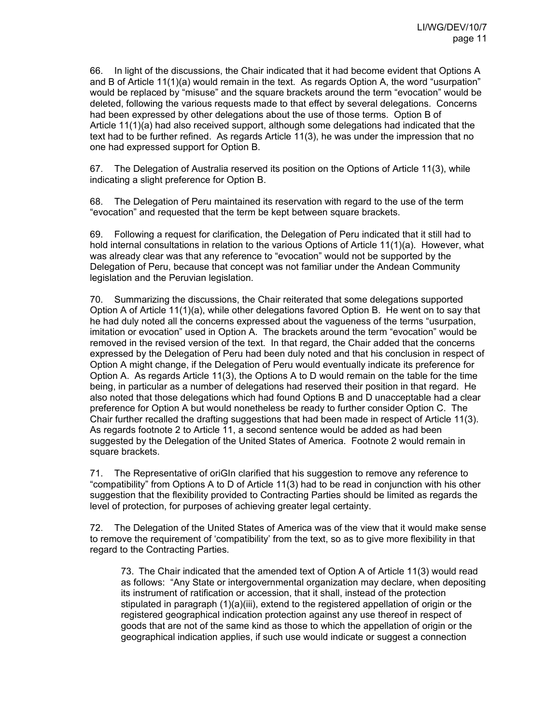66. In light of the discussions, the Chair indicated that it had become evident that Options A and B of Article 11(1)(a) would remain in the text. As regards Option A, the word "usurpation" would be replaced by "misuse" and the square brackets around the term "evocation" would be deleted, following the various requests made to that effect by several delegations. Concerns had been expressed by other delegations about the use of those terms. Option B of Article 11(1)(a) had also received support, although some delegations had indicated that the text had to be further refined. As regards Article 11(3), he was under the impression that no one had expressed support for Option B.

67. The Delegation of Australia reserved its position on the Options of Article 11(3), while indicating a slight preference for Option B.

68. The Delegation of Peru maintained its reservation with regard to the use of the term "evocation" and requested that the term be kept between square brackets.

69. Following a request for clarification, the Delegation of Peru indicated that it still had to hold internal consultations in relation to the various Options of Article 11(1)(a). However, what was already clear was that any reference to "evocation" would not be supported by the Delegation of Peru, because that concept was not familiar under the Andean Community legislation and the Peruvian legislation.

70. Summarizing the discussions, the Chair reiterated that some delegations supported Option A of Article 11(1)(a), while other delegations favored Option B. He went on to say that he had duly noted all the concerns expressed about the vagueness of the terms "usurpation, imitation or evocation" used in Option A. The brackets around the term "evocation" would be removed in the revised version of the text. In that regard, the Chair added that the concerns expressed by the Delegation of Peru had been duly noted and that his conclusion in respect of Option A might change, if the Delegation of Peru would eventually indicate its preference for Option A. As regards Article 11(3), the Options A to D would remain on the table for the time being, in particular as a number of delegations had reserved their position in that regard. He also noted that those delegations which had found Options B and D unacceptable had a clear preference for Option A but would nonetheless be ready to further consider Option C. The Chair further recalled the drafting suggestions that had been made in respect of Article 11(3). As regards footnote 2 to Article 11, a second sentence would be added as had been suggested by the Delegation of the United States of America. Footnote 2 would remain in square brackets.

71. The Representative of oriGIn clarified that his suggestion to remove any reference to "compatibility" from Options A to D of Article 11(3) had to be read in conjunction with his other suggestion that the flexibility provided to Contracting Parties should be limited as regards the level of protection, for purposes of achieving greater legal certainty.

72. The Delegation of the United States of America was of the view that it would make sense to remove the requirement of 'compatibility' from the text, so as to give more flexibility in that regard to the Contracting Parties.

73. The Chair indicated that the amended text of Option A of Article 11(3) would read as follows: "Any State or intergovernmental organization may declare, when depositing its instrument of ratification or accession, that it shall, instead of the protection stipulated in paragraph (1)(a)(iii), extend to the registered appellation of origin or the registered geographical indication protection against any use thereof in respect of goods that are not of the same kind as those to which the appellation of origin or the geographical indication applies, if such use would indicate or suggest a connection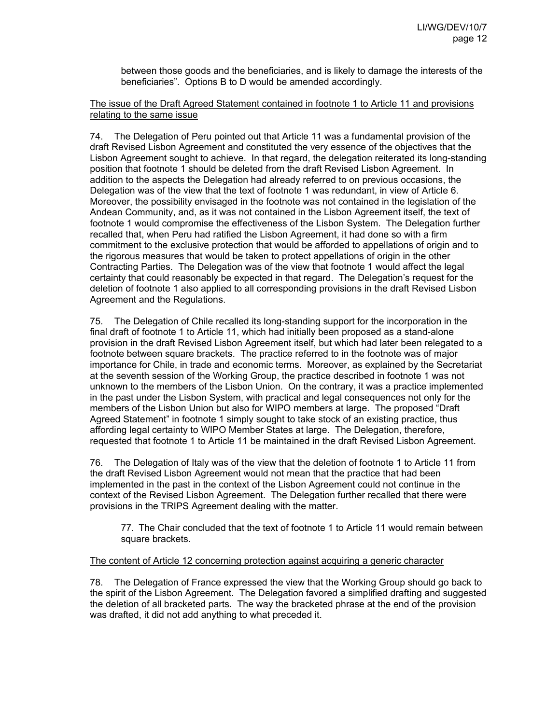between those goods and the beneficiaries, and is likely to damage the interests of the beneficiaries". Options B to D would be amended accordingly.

# The issue of the Draft Agreed Statement contained in footnote 1 to Article 11 and provisions relating to the same issue

74. The Delegation of Peru pointed out that Article 11 was a fundamental provision of the draft Revised Lisbon Agreement and constituted the very essence of the objectives that the Lisbon Agreement sought to achieve. In that regard, the delegation reiterated its long-standing position that footnote 1 should be deleted from the draft Revised Lisbon Agreement. In addition to the aspects the Delegation had already referred to on previous occasions, the Delegation was of the view that the text of footnote 1 was redundant, in view of Article 6. Moreover, the possibility envisaged in the footnote was not contained in the legislation of the Andean Community, and, as it was not contained in the Lisbon Agreement itself, the text of footnote 1 would compromise the effectiveness of the Lisbon System. The Delegation further recalled that, when Peru had ratified the Lisbon Agreement, it had done so with a firm commitment to the exclusive protection that would be afforded to appellations of origin and to the rigorous measures that would be taken to protect appellations of origin in the other Contracting Parties. The Delegation was of the view that footnote 1 would affect the legal certainty that could reasonably be expected in that regard. The Delegation's request for the deletion of footnote 1 also applied to all corresponding provisions in the draft Revised Lisbon Agreement and the Regulations.

75. The Delegation of Chile recalled its long-standing support for the incorporation in the final draft of footnote 1 to Article 11, which had initially been proposed as a stand-alone provision in the draft Revised Lisbon Agreement itself, but which had later been relegated to a footnote between square brackets. The practice referred to in the footnote was of major importance for Chile, in trade and economic terms. Moreover, as explained by the Secretariat at the seventh session of the Working Group, the practice described in footnote 1 was not unknown to the members of the Lisbon Union. On the contrary, it was a practice implemented in the past under the Lisbon System, with practical and legal consequences not only for the members of the Lisbon Union but also for WIPO members at large. The proposed "Draft Agreed Statement" in footnote 1 simply sought to take stock of an existing practice, thus affording legal certainty to WIPO Member States at large. The Delegation, therefore, requested that footnote 1 to Article 11 be maintained in the draft Revised Lisbon Agreement.

76. The Delegation of Italy was of the view that the deletion of footnote 1 to Article 11 from the draft Revised Lisbon Agreement would not mean that the practice that had been implemented in the past in the context of the Lisbon Agreement could not continue in the context of the Revised Lisbon Agreement. The Delegation further recalled that there were provisions in the TRIPS Agreement dealing with the matter.

77. The Chair concluded that the text of footnote 1 to Article 11 would remain between square brackets.

# The content of Article 12 concerning protection against acquiring a generic character

78. The Delegation of France expressed the view that the Working Group should go back to the spirit of the Lisbon Agreement. The Delegation favored a simplified drafting and suggested the deletion of all bracketed parts. The way the bracketed phrase at the end of the provision was drafted, it did not add anything to what preceded it.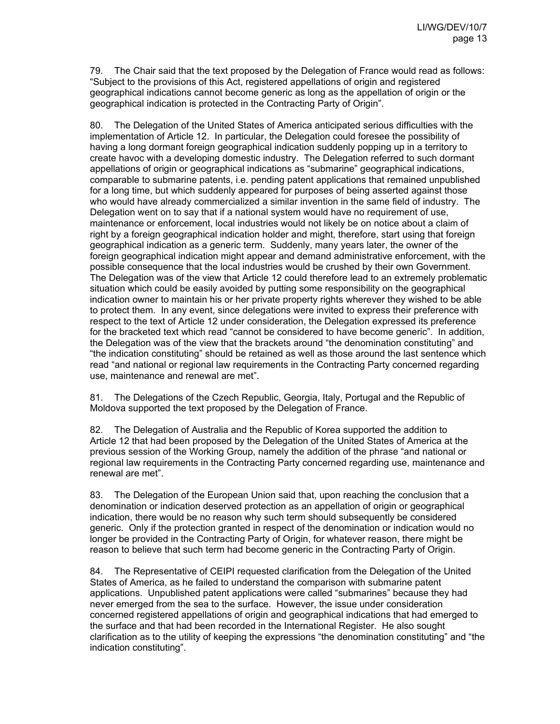79. The Chair said that the text proposed by the Delegation of France would read as follows: "Subject to the provisions of this Act, registered appellations of origin and registered geographical indications cannot become generic as long as the appellation of origin or the geographical indication is protected in the Contracting Party of Origin".

80. The Delegation of the United States of America anticipated serious difficulties with the implementation of Article 12. In particular, the Delegation could foresee the possibility of having a long dormant foreign geographical indication suddenly popping up in a territory to create havoc with a developing domestic industry. The Delegation referred to such dormant appellations of origin or geographical indications as "submarine" geographical indications, comparable to submarine patents, i.e. pending patent applications that remained unpublished for a long time, but which suddenly appeared for purposes of being asserted against those who would have already commercialized a similar invention in the same field of industry. The Delegation went on to say that if a national system would have no requirement of use, maintenance or enforcement, local industries would not likely be on notice about a claim of right by a foreign geographical indication holder and might, therefore, start using that foreign geographical indication as a generic term. Suddenly, many years later, the owner of the foreign geographical indication might appear and demand administrative enforcement, with the possible consequence that the local industries would be crushed by their own Government. The Delegation was of the view that Article 12 could therefore lead to an extremely problematic situation which could be easily avoided by putting some responsibility on the geographical indication owner to maintain his or her private property rights wherever they wished to be able to protect them. In any event, since delegations were invited to express their preference with respect to the text of Article 12 under consideration, the Delegation expressed its preference for the bracketed text which read "cannot be considered to have become generic". In addition, the Delegation was of the view that the brackets around "the denomination constituting" and "the indication constituting" should be retained as well as those around the last sentence which read "and national or regional law requirements in the Contracting Party concerned regarding use, maintenance and renewal are met".

81. The Delegations of the Czech Republic, Georgia, Italy, Portugal and the Republic of Moldova supported the text proposed by the Delegation of France.

82. The Delegation of Australia and the Republic of Korea supported the addition to Article 12 that had been proposed by the Delegation of the United States of America at the previous session of the Working Group, namely the addition of the phrase "and national or regional law requirements in the Contracting Party concerned regarding use, maintenance and renewal are met".

83. The Delegation of the European Union said that, upon reaching the conclusion that a denomination or indication deserved protection as an appellation of origin or geographical indication, there would be no reason why such term should subsequently be considered generic. Only if the protection granted in respect of the denomination or indication would no longer be provided in the Contracting Party of Origin, for whatever reason, there might be reason to believe that such term had become generic in the Contracting Party of Origin.

84. The Representative of CEIPI requested clarification from the Delegation of the United States of America, as he failed to understand the comparison with submarine patent applications. Unpublished patent applications were called "submarines" because they had never emerged from the sea to the surface. However, the issue under consideration concerned registered appellations of origin and geographical indications that had emerged to the surface and that had been recorded in the International Register. He also sought clarification as to the utility of keeping the expressions "the denomination constituting" and "the indication constituting".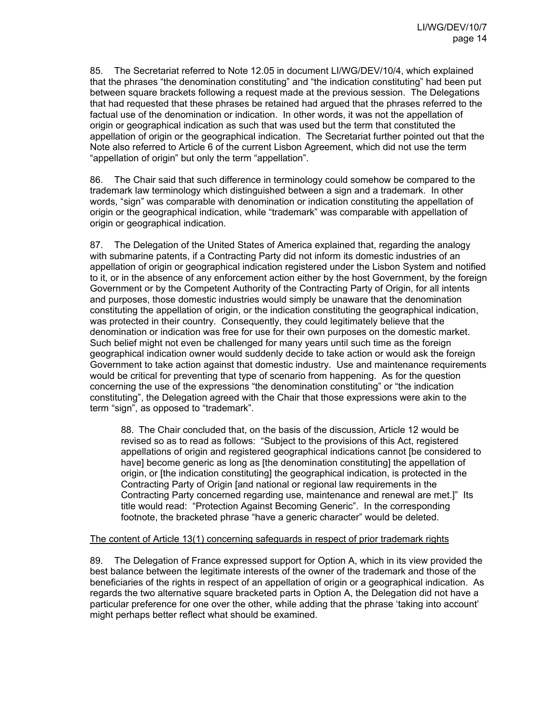85. The Secretariat referred to Note 12.05 in document LI/WG/DEV/10/4, which explained that the phrases "the denomination constituting" and "the indication constituting" had been put between square brackets following a request made at the previous session. The Delegations that had requested that these phrases be retained had argued that the phrases referred to the factual use of the denomination or indication. In other words, it was not the appellation of origin or geographical indication as such that was used but the term that constituted the appellation of origin or the geographical indication. The Secretariat further pointed out that the Note also referred to Article 6 of the current Lisbon Agreement, which did not use the term "appellation of origin" but only the term "appellation".

86. The Chair said that such difference in terminology could somehow be compared to the trademark law terminology which distinguished between a sign and a trademark. In other words, "sign" was comparable with denomination or indication constituting the appellation of origin or the geographical indication, while "trademark" was comparable with appellation of origin or geographical indication.

87. The Delegation of the United States of America explained that, regarding the analogy with submarine patents, if a Contracting Party did not inform its domestic industries of an appellation of origin or geographical indication registered under the Lisbon System and notified to it, or in the absence of any enforcement action either by the host Government, by the foreign Government or by the Competent Authority of the Contracting Party of Origin, for all intents and purposes, those domestic industries would simply be unaware that the denomination constituting the appellation of origin, or the indication constituting the geographical indication, was protected in their country. Consequently, they could legitimately believe that the denomination or indication was free for use for their own purposes on the domestic market. Such belief might not even be challenged for many years until such time as the foreign geographical indication owner would suddenly decide to take action or would ask the foreign Government to take action against that domestic industry. Use and maintenance requirements would be critical for preventing that type of scenario from happening. As for the question concerning the use of the expressions "the denomination constituting" or "the indication constituting", the Delegation agreed with the Chair that those expressions were akin to the term "sign", as opposed to "trademark".

88. The Chair concluded that, on the basis of the discussion, Article 12 would be revised so as to read as follows: "Subject to the provisions of this Act, registered appellations of origin and registered geographical indications cannot [be considered to have] become generic as long as [the denomination constituting] the appellation of origin, or [the indication constituting] the geographical indication, is protected in the Contracting Party of Origin [and national or regional law requirements in the Contracting Party concerned regarding use, maintenance and renewal are met.]" Its title would read: "Protection Against Becoming Generic". In the corresponding footnote, the bracketed phrase "have a generic character" would be deleted.

### The content of Article 13(1) concerning safeguards in respect of prior trademark rights

89. The Delegation of France expressed support for Option A, which in its view provided the best balance between the legitimate interests of the owner of the trademark and those of the beneficiaries of the rights in respect of an appellation of origin or a geographical indication. As regards the two alternative square bracketed parts in Option A, the Delegation did not have a particular preference for one over the other, while adding that the phrase 'taking into account' might perhaps better reflect what should be examined.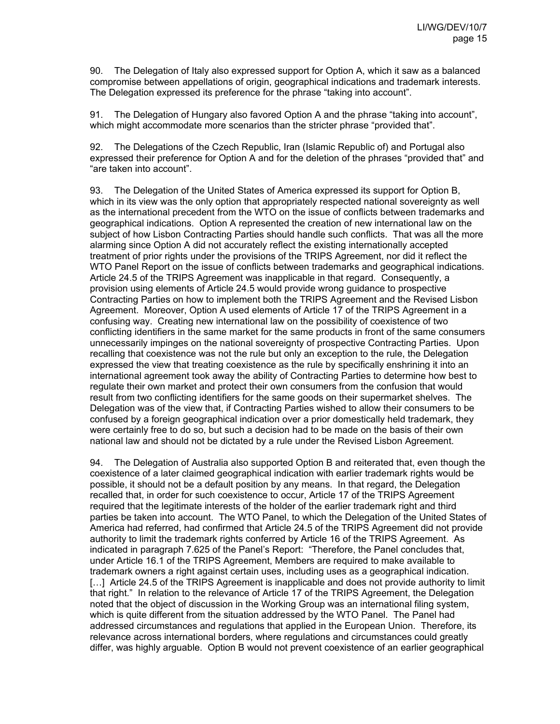90. The Delegation of Italy also expressed support for Option A, which it saw as a balanced compromise between appellations of origin, geographical indications and trademark interests. The Delegation expressed its preference for the phrase "taking into account".

91. The Delegation of Hungary also favored Option A and the phrase "taking into account", which might accommodate more scenarios than the stricter phrase "provided that".

92. The Delegations of the Czech Republic, Iran (Islamic Republic of) and Portugal also expressed their preference for Option A and for the deletion of the phrases "provided that" and "are taken into account".

93. The Delegation of the United States of America expressed its support for Option B, which in its view was the only option that appropriately respected national sovereignty as well as the international precedent from the WTO on the issue of conflicts between trademarks and geographical indications. Option A represented the creation of new international law on the subject of how Lisbon Contracting Parties should handle such conflicts. That was all the more alarming since Option A did not accurately reflect the existing internationally accepted treatment of prior rights under the provisions of the TRIPS Agreement, nor did it reflect the WTO Panel Report on the issue of conflicts between trademarks and geographical indications. Article 24.5 of the TRIPS Agreement was inapplicable in that regard. Consequently, a provision using elements of Article 24.5 would provide wrong guidance to prospective Contracting Parties on how to implement both the TRIPS Agreement and the Revised Lisbon Agreement. Moreover, Option A used elements of Article 17 of the TRIPS Agreement in a confusing way. Creating new international law on the possibility of coexistence of two conflicting identifiers in the same market for the same products in front of the same consumers unnecessarily impinges on the national sovereignty of prospective Contracting Parties. Upon recalling that coexistence was not the rule but only an exception to the rule, the Delegation expressed the view that treating coexistence as the rule by specifically enshrining it into an international agreement took away the ability of Contracting Parties to determine how best to regulate their own market and protect their own consumers from the confusion that would result from two conflicting identifiers for the same goods on their supermarket shelves. The Delegation was of the view that, if Contracting Parties wished to allow their consumers to be confused by a foreign geographical indication over a prior domestically held trademark, they were certainly free to do so, but such a decision had to be made on the basis of their own national law and should not be dictated by a rule under the Revised Lisbon Agreement.

94. The Delegation of Australia also supported Option B and reiterated that, even though the coexistence of a later claimed geographical indication with earlier trademark rights would be possible, it should not be a default position by any means. In that regard, the Delegation recalled that, in order for such coexistence to occur, Article 17 of the TRIPS Agreement required that the legitimate interests of the holder of the earlier trademark right and third parties be taken into account. The WTO Panel, to which the Delegation of the United States of America had referred, had confirmed that Article 24.5 of the TRIPS Agreement did not provide authority to limit the trademark rights conferred by Article 16 of the TRIPS Agreement. As indicated in paragraph 7.625 of the Panel's Report: "Therefore, the Panel concludes that, under Article 16.1 of the TRIPS Agreement, Members are required to make available to trademark owners a right against certain uses, including uses as a geographical indication. [...] Article 24.5 of the TRIPS Agreement is inapplicable and does not provide authority to limit that right." In relation to the relevance of Article 17 of the TRIPS Agreement, the Delegation noted that the object of discussion in the Working Group was an international filing system, which is quite different from the situation addressed by the WTO Panel. The Panel had addressed circumstances and regulations that applied in the European Union. Therefore, its relevance across international borders, where regulations and circumstances could greatly differ, was highly arguable. Option B would not prevent coexistence of an earlier geographical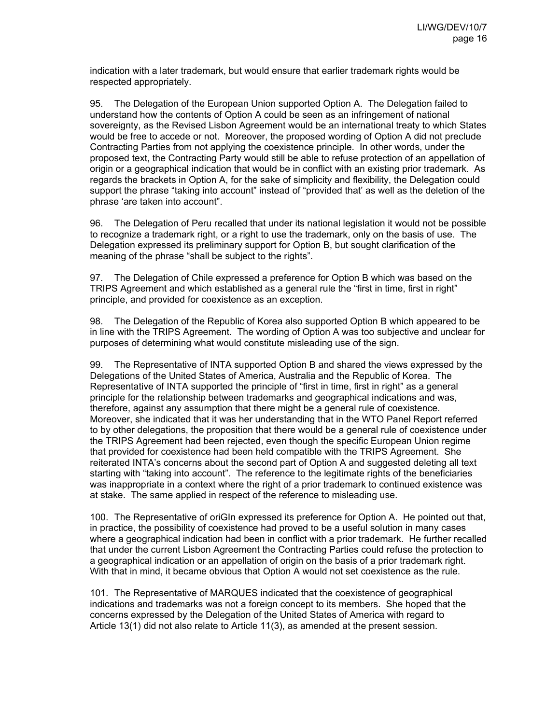indication with a later trademark, but would ensure that earlier trademark rights would be respected appropriately.

95. The Delegation of the European Union supported Option A. The Delegation failed to understand how the contents of Option A could be seen as an infringement of national sovereignty, as the Revised Lisbon Agreement would be an international treaty to which States would be free to accede or not. Moreover, the proposed wording of Option A did not preclude Contracting Parties from not applying the coexistence principle. In other words, under the proposed text, the Contracting Party would still be able to refuse protection of an appellation of origin or a geographical indication that would be in conflict with an existing prior trademark. As regards the brackets in Option A, for the sake of simplicity and flexibility, the Delegation could support the phrase "taking into account" instead of "provided that' as well as the deletion of the phrase 'are taken into account".

96. The Delegation of Peru recalled that under its national legislation it would not be possible to recognize a trademark right, or a right to use the trademark, only on the basis of use. The Delegation expressed its preliminary support for Option B, but sought clarification of the meaning of the phrase "shall be subject to the rights".

97. The Delegation of Chile expressed a preference for Option B which was based on the TRIPS Agreement and which established as a general rule the "first in time, first in right" principle, and provided for coexistence as an exception.

98. The Delegation of the Republic of Korea also supported Option B which appeared to be in line with the TRIPS Agreement. The wording of Option A was too subjective and unclear for purposes of determining what would constitute misleading use of the sign.

99. The Representative of INTA supported Option B and shared the views expressed by the Delegations of the United States of America, Australia and the Republic of Korea. The Representative of INTA supported the principle of "first in time, first in right" as a general principle for the relationship between trademarks and geographical indications and was, therefore, against any assumption that there might be a general rule of coexistence. Moreover, she indicated that it was her understanding that in the WTO Panel Report referred to by other delegations, the proposition that there would be a general rule of coexistence under the TRIPS Agreement had been rejected, even though the specific European Union regime that provided for coexistence had been held compatible with the TRIPS Agreement. She reiterated INTA's concerns about the second part of Option A and suggested deleting all text starting with "taking into account". The reference to the legitimate rights of the beneficiaries was inappropriate in a context where the right of a prior trademark to continued existence was at stake. The same applied in respect of the reference to misleading use.

100. The Representative of oriGIn expressed its preference for Option A. He pointed out that, in practice, the possibility of coexistence had proved to be a useful solution in many cases where a geographical indication had been in conflict with a prior trademark. He further recalled that under the current Lisbon Agreement the Contracting Parties could refuse the protection to a geographical indication or an appellation of origin on the basis of a prior trademark right. With that in mind, it became obvious that Option A would not set coexistence as the rule.

101. The Representative of MARQUES indicated that the coexistence of geographical indications and trademarks was not a foreign concept to its members. She hoped that the concerns expressed by the Delegation of the United States of America with regard to Article 13(1) did not also relate to Article 11(3), as amended at the present session.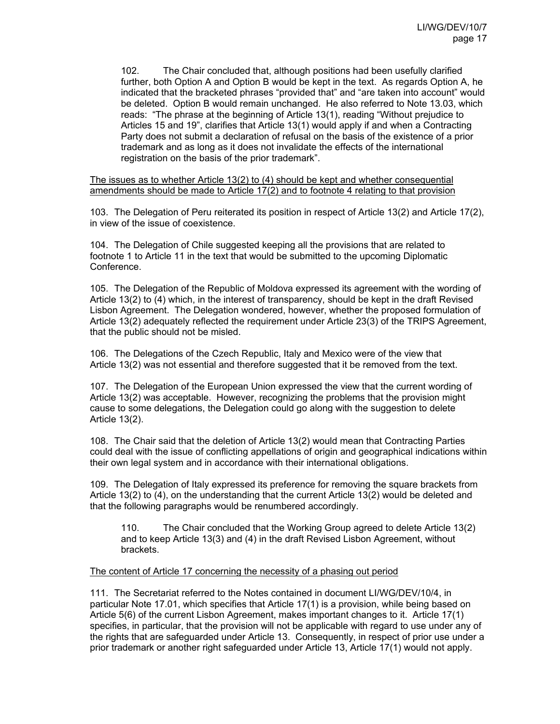102. The Chair concluded that, although positions had been usefully clarified further, both Option A and Option B would be kept in the text. As regards Option A, he indicated that the bracketed phrases "provided that" and "are taken into account" would be deleted. Option B would remain unchanged. He also referred to Note 13.03, which reads: "The phrase at the beginning of Article 13(1), reading "Without prejudice to Articles 15 and 19", clarifies that Article 13(1) would apply if and when a Contracting Party does not submit a declaration of refusal on the basis of the existence of a prior trademark and as long as it does not invalidate the effects of the international registration on the basis of the prior trademark".

The issues as to whether Article 13(2) to (4) should be kept and whether consequential amendments should be made to Article 17(2) and to footnote 4 relating to that provision

103. The Delegation of Peru reiterated its position in respect of Article 13(2) and Article 17(2), in view of the issue of coexistence.

104. The Delegation of Chile suggested keeping all the provisions that are related to footnote 1 to Article 11 in the text that would be submitted to the upcoming Diplomatic Conference.

105. The Delegation of the Republic of Moldova expressed its agreement with the wording of Article 13(2) to (4) which, in the interest of transparency, should be kept in the draft Revised Lisbon Agreement. The Delegation wondered, however, whether the proposed formulation of Article 13(2) adequately reflected the requirement under Article 23(3) of the TRIPS Agreement, that the public should not be misled.

106. The Delegations of the Czech Republic, Italy and Mexico were of the view that Article 13(2) was not essential and therefore suggested that it be removed from the text.

107. The Delegation of the European Union expressed the view that the current wording of Article 13(2) was acceptable. However, recognizing the problems that the provision might cause to some delegations, the Delegation could go along with the suggestion to delete Article 13(2).

108. The Chair said that the deletion of Article 13(2) would mean that Contracting Parties could deal with the issue of conflicting appellations of origin and geographical indications within their own legal system and in accordance with their international obligations.

109. The Delegation of Italy expressed its preference for removing the square brackets from Article 13(2) to (4), on the understanding that the current Article 13(2) would be deleted and that the following paragraphs would be renumbered accordingly.

110. The Chair concluded that the Working Group agreed to delete Article 13(2) and to keep Article 13(3) and (4) in the draft Revised Lisbon Agreement, without brackets.

### The content of Article 17 concerning the necessity of a phasing out period

111. The Secretariat referred to the Notes contained in document LI/WG/DEV/10/4, in particular Note 17.01, which specifies that Article 17(1) is a provision, while being based on Article 5(6) of the current Lisbon Agreement, makes important changes to it. Article 17(1) specifies, in particular, that the provision will not be applicable with regard to use under any of the rights that are safeguarded under Article 13. Consequently, in respect of prior use under a prior trademark or another right safeguarded under Article 13, Article 17(1) would not apply.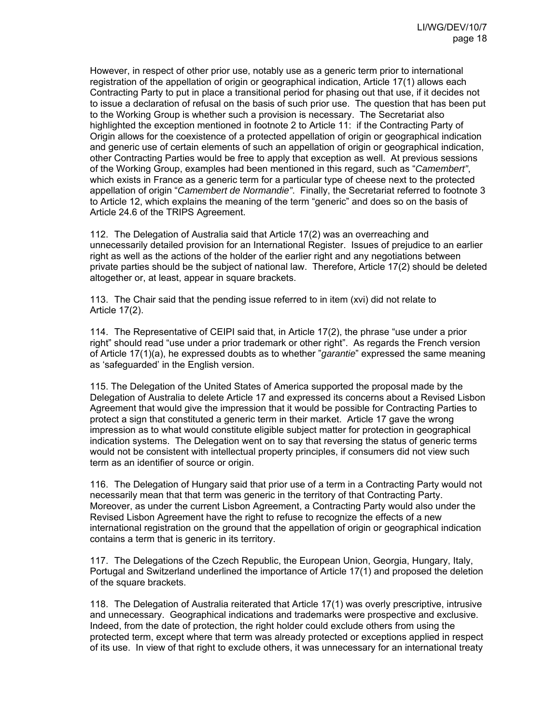However, in respect of other prior use, notably use as a generic term prior to international registration of the appellation of origin or geographical indication. Article 17(1) allows each Contracting Party to put in place a transitional period for phasing out that use, if it decides not to issue a declaration of refusal on the basis of such prior use. The question that has been put to the Working Group is whether such a provision is necessary. The Secretariat also highlighted the exception mentioned in footnote 2 to Article 11: if the Contracting Party of Origin allows for the coexistence of a protected appellation of origin or geographical indication and generic use of certain elements of such an appellation of origin or geographical indication, other Contracting Parties would be free to apply that exception as well. At previous sessions of the Working Group, examples had been mentioned in this regard, such as "*Camembert"*, which exists in France as a generic term for a particular type of cheese next to the protected appellation of origin "*Camembert de Normandie"*. Finally, the Secretariat referred to footnote 3 to Article 12, which explains the meaning of the term "generic" and does so on the basis of Article 24.6 of the TRIPS Agreement.

112. The Delegation of Australia said that Article 17(2) was an overreaching and unnecessarily detailed provision for an International Register. Issues of prejudice to an earlier right as well as the actions of the holder of the earlier right and any negotiations between private parties should be the subject of national law. Therefore, Article 17(2) should be deleted altogether or, at least, appear in square brackets.

113. The Chair said that the pending issue referred to in item (xvi) did not relate to Article 17(2).

114. The Representative of CEIPI said that, in Article 17(2), the phrase "use under a prior right" should read "use under a prior trademark or other right". As regards the French version of Article 17(1)(a), he expressed doubts as to whether "*garantie*" expressed the same meaning as 'safeguarded' in the English version.

115. The Delegation of the United States of America supported the proposal made by the Delegation of Australia to delete Article 17 and expressed its concerns about a Revised Lisbon Agreement that would give the impression that it would be possible for Contracting Parties to protect a sign that constituted a generic term in their market. Article 17 gave the wrong impression as to what would constitute eligible subject matter for protection in geographical indication systems. The Delegation went on to say that reversing the status of generic terms would not be consistent with intellectual property principles, if consumers did not view such term as an identifier of source or origin.

116. The Delegation of Hungary said that prior use of a term in a Contracting Party would not necessarily mean that that term was generic in the territory of that Contracting Party. Moreover, as under the current Lisbon Agreement, a Contracting Party would also under the Revised Lisbon Agreement have the right to refuse to recognize the effects of a new international registration on the ground that the appellation of origin or geographical indication contains a term that is generic in its territory.

117. The Delegations of the Czech Republic, the European Union, Georgia, Hungary, Italy, Portugal and Switzerland underlined the importance of Article 17(1) and proposed the deletion of the square brackets.

118. The Delegation of Australia reiterated that Article 17(1) was overly prescriptive, intrusive and unnecessary. Geographical indications and trademarks were prospective and exclusive. Indeed, from the date of protection, the right holder could exclude others from using the protected term, except where that term was already protected or exceptions applied in respect of its use. In view of that right to exclude others, it was unnecessary for an international treaty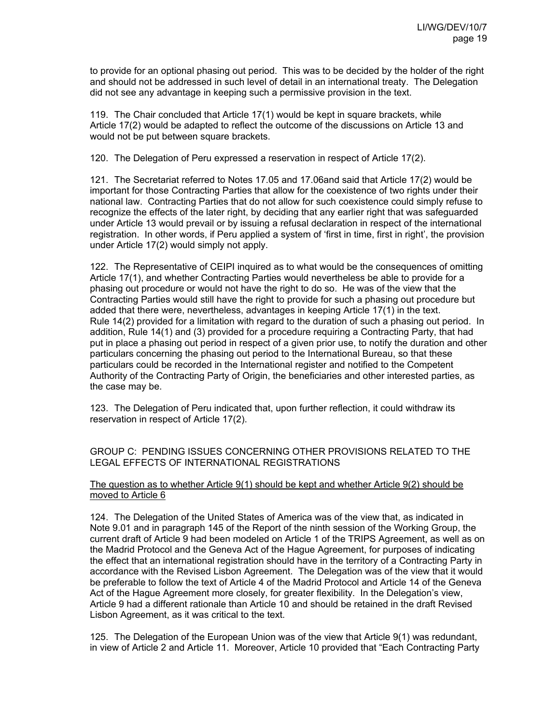to provide for an optional phasing out period. This was to be decided by the holder of the right and should not be addressed in such level of detail in an international treaty. The Delegation did not see any advantage in keeping such a permissive provision in the text.

119. The Chair concluded that Article 17(1) would be kept in square brackets, while Article 17(2) would be adapted to reflect the outcome of the discussions on Article 13 and would not be put between square brackets.

120. The Delegation of Peru expressed a reservation in respect of Article 17(2).

121. The Secretariat referred to Notes 17.05 and 17.06and said that Article 17(2) would be important for those Contracting Parties that allow for the coexistence of two rights under their national law. Contracting Parties that do not allow for such coexistence could simply refuse to recognize the effects of the later right, by deciding that any earlier right that was safeguarded under Article 13 would prevail or by issuing a refusal declaration in respect of the international registration. In other words, if Peru applied a system of 'first in time, first in right', the provision under Article 17(2) would simply not apply.

122. The Representative of CEIPI inquired as to what would be the consequences of omitting Article 17(1), and whether Contracting Parties would nevertheless be able to provide for a phasing out procedure or would not have the right to do so. He was of the view that the Contracting Parties would still have the right to provide for such a phasing out procedure but added that there were, nevertheless, advantages in keeping Article 17(1) in the text. Rule 14(2) provided for a limitation with regard to the duration of such a phasing out period. In addition, Rule 14(1) and (3) provided for a procedure requiring a Contracting Party, that had put in place a phasing out period in respect of a given prior use, to notify the duration and other particulars concerning the phasing out period to the International Bureau, so that these particulars could be recorded in the International register and notified to the Competent Authority of the Contracting Party of Origin, the beneficiaries and other interested parties, as the case may be.

123. The Delegation of Peru indicated that, upon further reflection, it could withdraw its reservation in respect of Article 17(2).

GROUP C: PENDING ISSUES CONCERNING OTHER PROVISIONS RELATED TO THE LEGAL EFFECTS OF INTERNATIONAL REGISTRATIONS

The question as to whether Article 9(1) should be kept and whether Article 9(2) should be moved to Article 6

124. The Delegation of the United States of America was of the view that, as indicated in Note 9.01 and in paragraph 145 of the Report of the ninth session of the Working Group, the current draft of Article 9 had been modeled on Article 1 of the TRIPS Agreement, as well as on the Madrid Protocol and the Geneva Act of the Hague Agreement, for purposes of indicating the effect that an international registration should have in the territory of a Contracting Party in accordance with the Revised Lisbon Agreement. The Delegation was of the view that it would be preferable to follow the text of Article 4 of the Madrid Protocol and Article 14 of the Geneva Act of the Hague Agreement more closely, for greater flexibility. In the Delegation's view, Article 9 had a different rationale than Article 10 and should be retained in the draft Revised Lisbon Agreement, as it was critical to the text.

125. The Delegation of the European Union was of the view that Article 9(1) was redundant, in view of Article 2 and Article 11. Moreover, Article 10 provided that "Each Contracting Party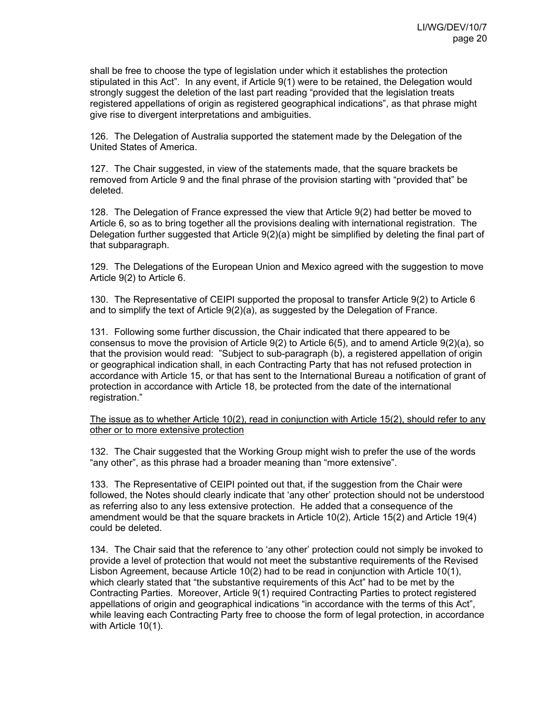shall be free to choose the type of legislation under which it establishes the protection stipulated in this Act". In any event, if Article 9(1) were to be retained, the Delegation would strongly suggest the deletion of the last part reading "provided that the legislation treats registered appellations of origin as registered geographical indications", as that phrase might give rise to divergent interpretations and ambiguities.

126. The Delegation of Australia supported the statement made by the Delegation of the United States of America.

127. The Chair suggested, in view of the statements made, that the square brackets be removed from Article 9 and the final phrase of the provision starting with "provided that" be deleted.

128. The Delegation of France expressed the view that Article 9(2) had better be moved to Article 6, so as to bring together all the provisions dealing with international registration. The Delegation further suggested that Article 9(2)(a) might be simplified by deleting the final part of that subparagraph.

129. The Delegations of the European Union and Mexico agreed with the suggestion to move Article 9(2) to Article 6.

130. The Representative of CEIPI supported the proposal to transfer Article 9(2) to Article 6 and to simplify the text of Article 9(2)(a), as suggested by the Delegation of France.

131. Following some further discussion, the Chair indicated that there appeared to be consensus to move the provision of Article 9(2) to Article 6(5), and to amend Article 9(2)(a), so that the provision would read: "Subject to sub-paragraph (b), a registered appellation of origin or geographical indication shall, in each Contracting Party that has not refused protection in accordance with Article 15, or that has sent to the International Bureau a notification of grant of protection in accordance with Article 18, be protected from the date of the international registration."

The issue as to whether Article 10(2), read in conjunction with Article 15(2), should refer to any other or to more extensive protection

132. The Chair suggested that the Working Group might wish to prefer the use of the words "any other", as this phrase had a broader meaning than "more extensive".

133. The Representative of CEIPI pointed out that, if the suggestion from the Chair were followed, the Notes should clearly indicate that 'any other' protection should not be understood as referring also to any less extensive protection. He added that a consequence of the amendment would be that the square brackets in Article 10(2), Article 15(2) and Article 19(4) could be deleted.

134. The Chair said that the reference to 'any other' protection could not simply be invoked to provide a level of protection that would not meet the substantive requirements of the Revised Lisbon Agreement, because Article 10(2) had to be read in conjunction with Article 10(1), which clearly stated that "the substantive requirements of this Act" had to be met by the Contracting Parties. Moreover, Article 9(1) required Contracting Parties to protect registered appellations of origin and geographical indications "in accordance with the terms of this Act", while leaving each Contracting Party free to choose the form of legal protection, in accordance with Article 10(1).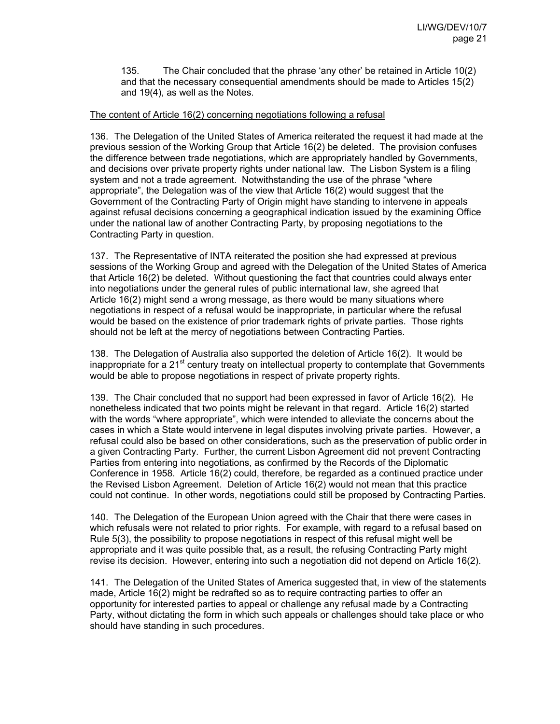135. The Chair concluded that the phrase 'any other' be retained in Article 10(2) and that the necessary consequential amendments should be made to Articles 15(2) and 19(4), as well as the Notes.

### The content of Article 16(2) concerning negotiations following a refusal

136. The Delegation of the United States of America reiterated the request it had made at the previous session of the Working Group that Article 16(2) be deleted. The provision confuses the difference between trade negotiations, which are appropriately handled by Governments, and decisions over private property rights under national law. The Lisbon System is a filing system and not a trade agreement. Notwithstanding the use of the phrase "where appropriate", the Delegation was of the view that Article 16(2) would suggest that the Government of the Contracting Party of Origin might have standing to intervene in appeals against refusal decisions concerning a geographical indication issued by the examining Office under the national law of another Contracting Party, by proposing negotiations to the Contracting Party in question.

137. The Representative of INTA reiterated the position she had expressed at previous sessions of the Working Group and agreed with the Delegation of the United States of America that Article 16(2) be deleted. Without questioning the fact that countries could always enter into negotiations under the general rules of public international law, she agreed that Article 16(2) might send a wrong message, as there would be many situations where negotiations in respect of a refusal would be inappropriate, in particular where the refusal would be based on the existence of prior trademark rights of private parties. Those rights should not be left at the mercy of negotiations between Contracting Parties.

138. The Delegation of Australia also supported the deletion of Article 16(2). It would be inappropriate for a  $21<sup>st</sup>$  century treaty on intellectual property to contemplate that Governments would be able to propose negotiations in respect of private property rights.

139. The Chair concluded that no support had been expressed in favor of Article 16(2). He nonetheless indicated that two points might be relevant in that regard. Article 16(2) started with the words "where appropriate", which were intended to alleviate the concerns about the cases in which a State would intervene in legal disputes involving private parties. However, a refusal could also be based on other considerations, such as the preservation of public order in a given Contracting Party. Further, the current Lisbon Agreement did not prevent Contracting Parties from entering into negotiations, as confirmed by the Records of the Diplomatic Conference in 1958. Article 16(2) could, therefore, be regarded as a continued practice under the Revised Lisbon Agreement. Deletion of Article 16(2) would not mean that this practice could not continue. In other words, negotiations could still be proposed by Contracting Parties.

140. The Delegation of the European Union agreed with the Chair that there were cases in which refusals were not related to prior rights. For example, with regard to a refusal based on Rule 5(3), the possibility to propose negotiations in respect of this refusal might well be appropriate and it was quite possible that, as a result, the refusing Contracting Party might revise its decision. However, entering into such a negotiation did not depend on Article 16(2).

141. The Delegation of the United States of America suggested that, in view of the statements made, Article 16(2) might be redrafted so as to require contracting parties to offer an opportunity for interested parties to appeal or challenge any refusal made by a Contracting Party, without dictating the form in which such appeals or challenges should take place or who should have standing in such procedures.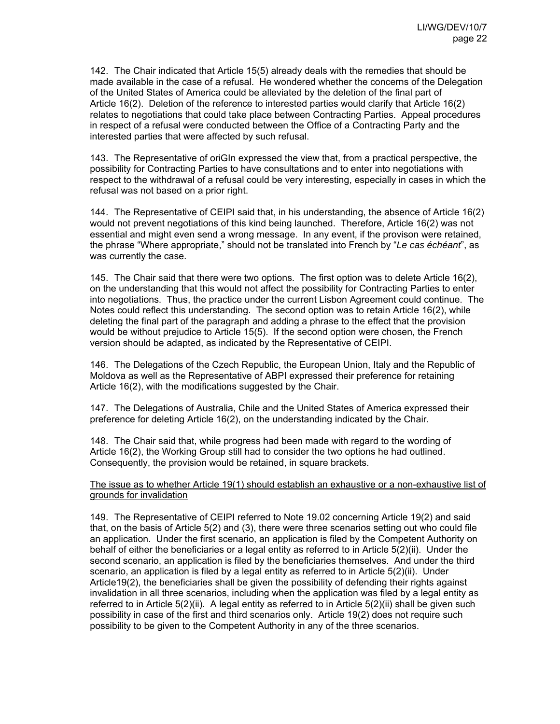142. The Chair indicated that Article 15(5) already deals with the remedies that should be made available in the case of a refusal. He wondered whether the concerns of the Delegation of the United States of America could be alleviated by the deletion of the final part of Article 16(2). Deletion of the reference to interested parties would clarify that Article 16(2) relates to negotiations that could take place between Contracting Parties. Appeal procedures in respect of a refusal were conducted between the Office of a Contracting Party and the interested parties that were affected by such refusal.

143. The Representative of oriGIn expressed the view that, from a practical perspective, the possibility for Contracting Parties to have consultations and to enter into negotiations with respect to the withdrawal of a refusal could be very interesting, especially in cases in which the refusal was not based on a prior right.

144. The Representative of CEIPI said that, in his understanding, the absence of Article 16(2) would not prevent negotiations of this kind being launched. Therefore, Article 16(2) was not essential and might even send a wrong message. In any event, if the provison were retained, the phrase "Where appropriate," should not be translated into French by "*Le cas échéant*", as was currently the case.

145. The Chair said that there were two options. The first option was to delete Article 16(2), on the understanding that this would not affect the possibility for Contracting Parties to enter into negotiations. Thus, the practice under the current Lisbon Agreement could continue. The Notes could reflect this understanding. The second option was to retain Article 16(2), while deleting the final part of the paragraph and adding a phrase to the effect that the provision would be without prejudice to Article 15(5). If the second option were chosen, the French version should be adapted, as indicated by the Representative of CEIPI.

146. The Delegations of the Czech Republic, the European Union, Italy and the Republic of Moldova as well as the Representative of ABPI expressed their preference for retaining Article 16(2), with the modifications suggested by the Chair.

147. The Delegations of Australia, Chile and the United States of America expressed their preference for deleting Article 16(2), on the understanding indicated by the Chair.

148. The Chair said that, while progress had been made with regard to the wording of Article 16(2), the Working Group still had to consider the two options he had outlined. Consequently, the provision would be retained, in square brackets.

The issue as to whether Article 19(1) should establish an exhaustive or a non-exhaustive list of grounds for invalidation

149. The Representative of CEIPI referred to Note 19.02 concerning Article 19(2) and said that, on the basis of Article 5(2) and (3), there were three scenarios setting out who could file an application. Under the first scenario, an application is filed by the Competent Authority on behalf of either the beneficiaries or a legal entity as referred to in Article 5(2)(ii). Under the second scenario, an application is filed by the beneficiaries themselves. And under the third scenario, an application is filed by a legal entity as referred to in Article 5(2)(ii). Under Article19(2), the beneficiaries shall be given the possibility of defending their rights against invalidation in all three scenarios, including when the application was filed by a legal entity as referred to in Article 5(2)(ii). A legal entity as referred to in Article 5(2)(ii) shall be given such possibility in case of the first and third scenarios only. Article 19(2) does not require such possibility to be given to the Competent Authority in any of the three scenarios.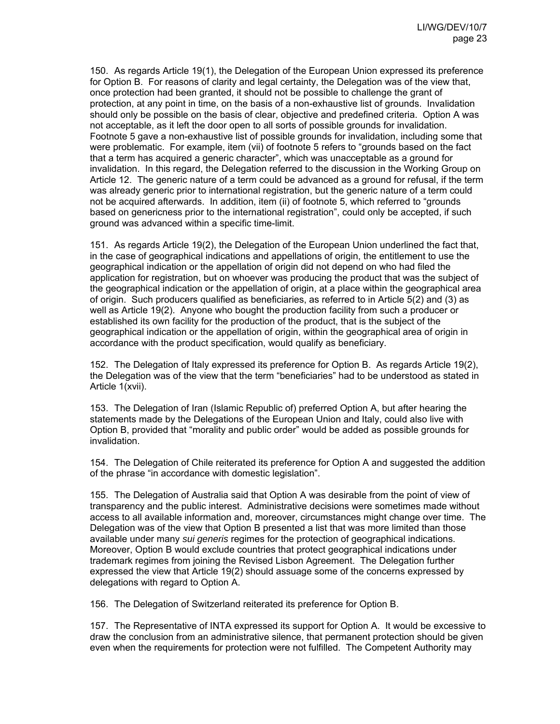150. As regards Article 19(1), the Delegation of the European Union expressed its preference for Option B. For reasons of clarity and legal certainty, the Delegation was of the view that, once protection had been granted, it should not be possible to challenge the grant of protection, at any point in time, on the basis of a non-exhaustive list of grounds. Invalidation should only be possible on the basis of clear, objective and predefined criteria. Option A was not acceptable, as it left the door open to all sorts of possible grounds for invalidation. Footnote 5 gave a non-exhaustive list of possible grounds for invalidation, including some that were problematic. For example, item (vii) of footnote 5 refers to "grounds based on the fact that a term has acquired a generic character", which was unacceptable as a ground for invalidation. In this regard, the Delegation referred to the discussion in the Working Group on Article 12. The generic nature of a term could be advanced as a ground for refusal, if the term was already generic prior to international registration, but the generic nature of a term could not be acquired afterwards. In addition, item (ii) of footnote 5, which referred to "grounds based on genericness prior to the international registration", could only be accepted, if such ground was advanced within a specific time-limit.

151. As regards Article 19(2), the Delegation of the European Union underlined the fact that, in the case of geographical indications and appellations of origin, the entitlement to use the geographical indication or the appellation of origin did not depend on who had filed the application for registration, but on whoever was producing the product that was the subject of the geographical indication or the appellation of origin, at a place within the geographical area of origin. Such producers qualified as beneficiaries, as referred to in Article 5(2) and (3) as well as Article 19(2). Anyone who bought the production facility from such a producer or established its own facility for the production of the product, that is the subject of the geographical indication or the appellation of origin, within the geographical area of origin in accordance with the product specification, would qualify as beneficiary.

152. The Delegation of Italy expressed its preference for Option B. As regards Article 19(2), the Delegation was of the view that the term "beneficiaries" had to be understood as stated in Article 1(xvii).

153. The Delegation of Iran (Islamic Republic of) preferred Option A, but after hearing the statements made by the Delegations of the European Union and Italy, could also live with Option B, provided that "morality and public order" would be added as possible grounds for invalidation.

154. The Delegation of Chile reiterated its preference for Option A and suggested the addition of the phrase "in accordance with domestic legislation".

155. The Delegation of Australia said that Option A was desirable from the point of view of transparency and the public interest. Administrative decisions were sometimes made without access to all available information and, moreover, circumstances might change over time. The Delegation was of the view that Option B presented a list that was more limited than those available under many *sui generis* regimes for the protection of geographical indications. Moreover, Option B would exclude countries that protect geographical indications under trademark regimes from joining the Revised Lisbon Agreement. The Delegation further expressed the view that Article 19(2) should assuage some of the concerns expressed by delegations with regard to Option A.

156. The Delegation of Switzerland reiterated its preference for Option B.

157. The Representative of INTA expressed its support for Option A. It would be excessive to draw the conclusion from an administrative silence, that permanent protection should be given even when the requirements for protection were not fulfilled. The Competent Authority may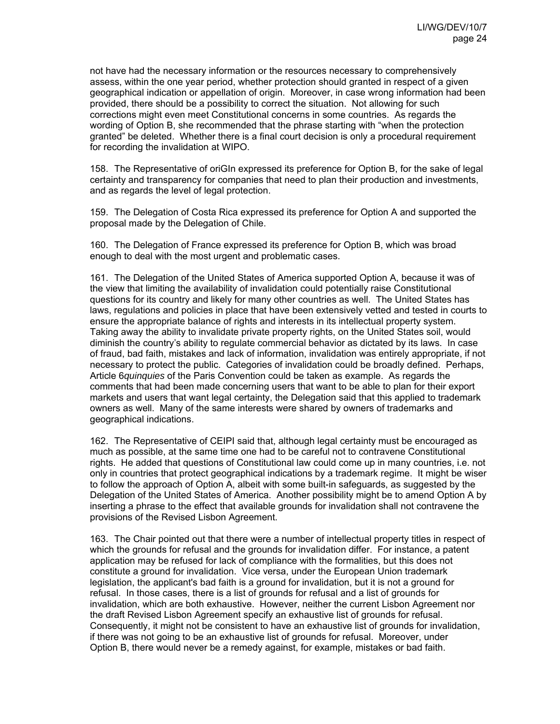not have had the necessary information or the resources necessary to comprehensively assess, within the one year period, whether protection should granted in respect of a given geographical indication or appellation of origin. Moreover, in case wrong information had been provided, there should be a possibility to correct the situation. Not allowing for such corrections might even meet Constitutional concerns in some countries. As regards the wording of Option B, she recommended that the phrase starting with "when the protection granted" be deleted. Whether there is a final court decision is only a procedural requirement for recording the invalidation at WIPO.

158. The Representative of oriGIn expressed its preference for Option B, for the sake of legal certainty and transparency for companies that need to plan their production and investments, and as regards the level of legal protection.

159. The Delegation of Costa Rica expressed its preference for Option A and supported the proposal made by the Delegation of Chile.

160. The Delegation of France expressed its preference for Option B, which was broad enough to deal with the most urgent and problematic cases.

161. The Delegation of the United States of America supported Option A, because it was of the view that limiting the availability of invalidation could potentially raise Constitutional questions for its country and likely for many other countries as well. The United States has laws, regulations and policies in place that have been extensively vetted and tested in courts to ensure the appropriate balance of rights and interests in its intellectual property system. Taking away the ability to invalidate private property rights, on the United States soil, would diminish the country's ability to regulate commercial behavior as dictated by its laws. In case of fraud, bad faith, mistakes and lack of information, invalidation was entirely appropriate, if not necessary to protect the public. Categories of invalidation could be broadly defined. Perhaps, Article 6*quinquies* of the Paris Convention could be taken as example. As regards the comments that had been made concerning users that want to be able to plan for their export markets and users that want legal certainty, the Delegation said that this applied to trademark owners as well. Many of the same interests were shared by owners of trademarks and geographical indications.

162. The Representative of CEIPI said that, although legal certainty must be encouraged as much as possible, at the same time one had to be careful not to contravene Constitutional rights. He added that questions of Constitutional law could come up in many countries, i.e. not only in countries that protect geographical indications by a trademark regime. It might be wiser to follow the approach of Option A, albeit with some built-in safeguards, as suggested by the Delegation of the United States of America. Another possibility might be to amend Option A by inserting a phrase to the effect that available grounds for invalidation shall not contravene the provisions of the Revised Lisbon Agreement.

163. The Chair pointed out that there were a number of intellectual property titles in respect of which the grounds for refusal and the grounds for invalidation differ. For instance, a patent application may be refused for lack of compliance with the formalities, but this does not constitute a ground for invalidation. Vice versa, under the European Union trademark legislation, the applicant's bad faith is a ground for invalidation, but it is not a ground for refusal. In those cases, there is a list of grounds for refusal and a list of grounds for invalidation, which are both exhaustive. However, neither the current Lisbon Agreement nor the draft Revised Lisbon Agreement specify an exhaustive list of grounds for refusal. Consequently, it might not be consistent to have an exhaustive list of grounds for invalidation, if there was not going to be an exhaustive list of grounds for refusal. Moreover, under Option B, there would never be a remedy against, for example, mistakes or bad faith.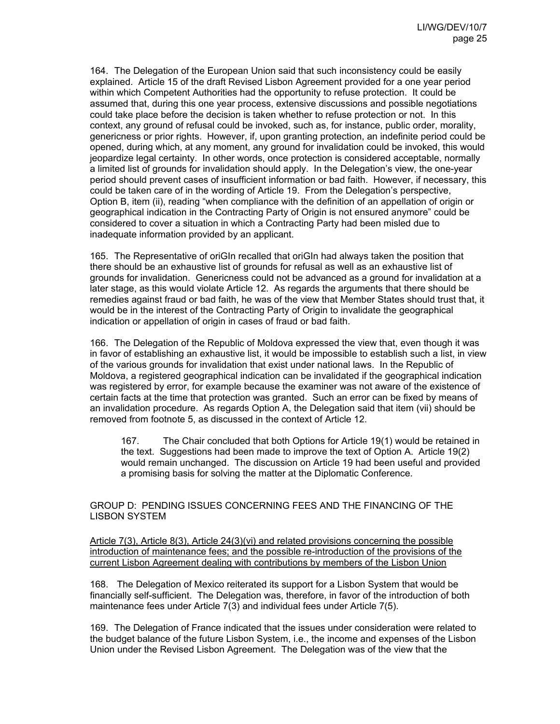164. The Delegation of the European Union said that such inconsistency could be easily explained. Article 15 of the draft Revised Lisbon Agreement provided for a one year period within which Competent Authorities had the opportunity to refuse protection. It could be assumed that, during this one year process, extensive discussions and possible negotiations could take place before the decision is taken whether to refuse protection or not. In this context, any ground of refusal could be invoked, such as, for instance, public order, morality, genericness or prior rights. However, if, upon granting protection, an indefinite period could be opened, during which, at any moment, any ground for invalidation could be invoked, this would jeopardize legal certainty. In other words, once protection is considered acceptable, normally a limited list of grounds for invalidation should apply. In the Delegation's view, the one-year period should prevent cases of insufficient information or bad faith. However, if necessary, this could be taken care of in the wording of Article 19. From the Delegation's perspective, Option B, item (ii), reading "when compliance with the definition of an appellation of origin or geographical indication in the Contracting Party of Origin is not ensured anymore" could be considered to cover a situation in which a Contracting Party had been misled due to inadequate information provided by an applicant.

165. The Representative of oriGIn recalled that oriGIn had always taken the position that there should be an exhaustive list of grounds for refusal as well as an exhaustive list of grounds for invalidation. Genericness could not be advanced as a ground for invalidation at a later stage, as this would violate Article 12. As regards the arguments that there should be remedies against fraud or bad faith, he was of the view that Member States should trust that, it would be in the interest of the Contracting Party of Origin to invalidate the geographical indication or appellation of origin in cases of fraud or bad faith.

166. The Delegation of the Republic of Moldova expressed the view that, even though it was in favor of establishing an exhaustive list, it would be impossible to establish such a list, in view of the various grounds for invalidation that exist under national laws. In the Republic of Moldova, a registered geographical indication can be invalidated if the geographical indication was registered by error, for example because the examiner was not aware of the existence of certain facts at the time that protection was granted. Such an error can be fixed by means of an invalidation procedure. As regards Option A, the Delegation said that item (vii) should be removed from footnote 5, as discussed in the context of Article 12.

167. The Chair concluded that both Options for Article 19(1) would be retained in the text. Suggestions had been made to improve the text of Option A. Article 19(2) would remain unchanged. The discussion on Article 19 had been useful and provided a promising basis for solving the matter at the Diplomatic Conference.

# GROUP D: PENDING ISSUES CONCERNING FEES AND THE FINANCING OF THE LISBON SYSTEM

Article 7(3), Article 8(3), Article 24(3)(vi) and related provisions concerning the possible introduction of maintenance fees; and the possible re-introduction of the provisions of the current Lisbon Agreement dealing with contributions by members of the Lisbon Union

168. The Delegation of Mexico reiterated its support for a Lisbon System that would be financially self-sufficient. The Delegation was, therefore, in favor of the introduction of both maintenance fees under Article 7(3) and individual fees under Article 7(5).

169. The Delegation of France indicated that the issues under consideration were related to the budget balance of the future Lisbon System, i.e., the income and expenses of the Lisbon Union under the Revised Lisbon Agreement. The Delegation was of the view that the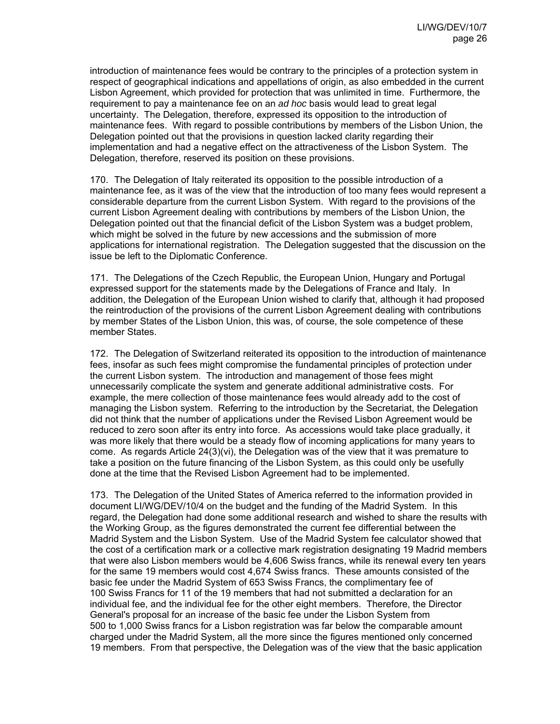introduction of maintenance fees would be contrary to the principles of a protection system in respect of geographical indications and appellations of origin, as also embedded in the current Lisbon Agreement, which provided for protection that was unlimited in time. Furthermore, the requirement to pay a maintenance fee on an *ad hoc* basis would lead to great legal uncertainty. The Delegation, therefore, expressed its opposition to the introduction of maintenance fees. With regard to possible contributions by members of the Lisbon Union, the Delegation pointed out that the provisions in question lacked clarity regarding their implementation and had a negative effect on the attractiveness of the Lisbon System. The Delegation, therefore, reserved its position on these provisions.

170. The Delegation of Italy reiterated its opposition to the possible introduction of a maintenance fee, as it was of the view that the introduction of too many fees would represent a considerable departure from the current Lisbon System. With regard to the provisions of the current Lisbon Agreement dealing with contributions by members of the Lisbon Union, the Delegation pointed out that the financial deficit of the Lisbon System was a budget problem, which might be solved in the future by new accessions and the submission of more applications for international registration. The Delegation suggested that the discussion on the issue be left to the Diplomatic Conference.

171. The Delegations of the Czech Republic, the European Union, Hungary and Portugal expressed support for the statements made by the Delegations of France and Italy. In addition, the Delegation of the European Union wished to clarify that, although it had proposed the reintroduction of the provisions of the current Lisbon Agreement dealing with contributions by member States of the Lisbon Union, this was, of course, the sole competence of these member States.

172. The Delegation of Switzerland reiterated its opposition to the introduction of maintenance fees, insofar as such fees might compromise the fundamental principles of protection under the current Lisbon system. The introduction and management of those fees might unnecessarily complicate the system and generate additional administrative costs. For example, the mere collection of those maintenance fees would already add to the cost of managing the Lisbon system. Referring to the introduction by the Secretariat, the Delegation did not think that the number of applications under the Revised Lisbon Agreement would be reduced to zero soon after its entry into force. As accessions would take place gradually, it was more likely that there would be a steady flow of incoming applications for many years to come. As regards Article 24(3)(vi), the Delegation was of the view that it was premature to take a position on the future financing of the Lisbon System, as this could only be usefully done at the time that the Revised Lisbon Agreement had to be implemented.

173. The Delegation of the United States of America referred to the information provided in document LI/WG/DEV/10/4 on the budget and the funding of the Madrid System. In this regard, the Delegation had done some additional research and wished to share the results with the Working Group, as the figures demonstrated the current fee differential between the Madrid System and the Lisbon System. Use of the Madrid System fee calculator showed that the cost of a certification mark or a collective mark registration designating 19 Madrid members that were also Lisbon members would be 4,606 Swiss francs, while its renewal every ten years for the same 19 members would cost 4,674 Swiss francs. These amounts consisted of the basic fee under the Madrid System of 653 Swiss Francs, the complimentary fee of 100 Swiss Francs for 11 of the 19 members that had not submitted a declaration for an individual fee, and the individual fee for the other eight members. Therefore, the Director General's proposal for an increase of the basic fee under the Lisbon System from 500 to 1,000 Swiss francs for a Lisbon registration was far below the comparable amount charged under the Madrid System, all the more since the figures mentioned only concerned 19 members. From that perspective, the Delegation was of the view that the basic application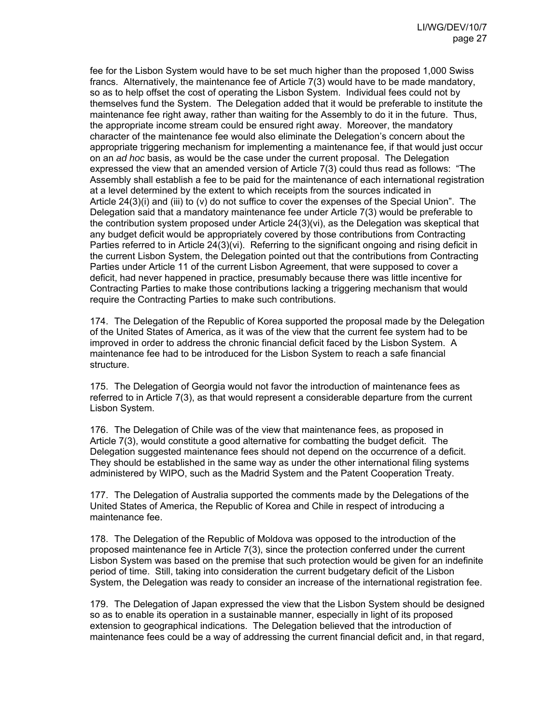fee for the Lisbon System would have to be set much higher than the proposed 1,000 Swiss francs. Alternatively, the maintenance fee of Article 7(3) would have to be made mandatory, so as to help offset the cost of operating the Lisbon System. Individual fees could not by themselves fund the System. The Delegation added that it would be preferable to institute the maintenance fee right away, rather than waiting for the Assembly to do it in the future. Thus, the appropriate income stream could be ensured right away. Moreover, the mandatory character of the maintenance fee would also eliminate the Delegation's concern about the appropriate triggering mechanism for implementing a maintenance fee, if that would just occur on an *ad hoc* basis, as would be the case under the current proposal. The Delegation expressed the view that an amended version of Article 7(3) could thus read as follows: "The Assembly shall establish a fee to be paid for the maintenance of each international registration at a level determined by the extent to which receipts from the sources indicated in Article 24(3)(i) and (iii) to (v) do not suffice to cover the expenses of the Special Union". The Delegation said that a mandatory maintenance fee under Article 7(3) would be preferable to the contribution system proposed under Article 24(3)(vi), as the Delegation was skeptical that any budget deficit would be appropriately covered by those contributions from Contracting Parties referred to in Article 24(3)(vi). Referring to the significant ongoing and rising deficit in the current Lisbon System, the Delegation pointed out that the contributions from Contracting Parties under Article 11 of the current Lisbon Agreement, that were supposed to cover a deficit, had never happened in practice, presumably because there was little incentive for Contracting Parties to make those contributions lacking a triggering mechanism that would require the Contracting Parties to make such contributions.

174. The Delegation of the Republic of Korea supported the proposal made by the Delegation of the United States of America, as it was of the view that the current fee system had to be improved in order to address the chronic financial deficit faced by the Lisbon System. A maintenance fee had to be introduced for the Lisbon System to reach a safe financial structure.

175. The Delegation of Georgia would not favor the introduction of maintenance fees as referred to in Article 7(3), as that would represent a considerable departure from the current Lisbon System.

176. The Delegation of Chile was of the view that maintenance fees, as proposed in Article 7(3), would constitute a good alternative for combatting the budget deficit. The Delegation suggested maintenance fees should not depend on the occurrence of a deficit. They should be established in the same way as under the other international filing systems administered by WIPO, such as the Madrid System and the Patent Cooperation Treaty.

177. The Delegation of Australia supported the comments made by the Delegations of the United States of America, the Republic of Korea and Chile in respect of introducing a maintenance fee.

178. The Delegation of the Republic of Moldova was opposed to the introduction of the proposed maintenance fee in Article 7(3), since the protection conferred under the current Lisbon System was based on the premise that such protection would be given for an indefinite period of time. Still, taking into consideration the current budgetary deficit of the Lisbon System, the Delegation was ready to consider an increase of the international registration fee.

179. The Delegation of Japan expressed the view that the Lisbon System should be designed so as to enable its operation in a sustainable manner, especially in light of its proposed extension to geographical indications. The Delegation believed that the introduction of maintenance fees could be a way of addressing the current financial deficit and, in that regard,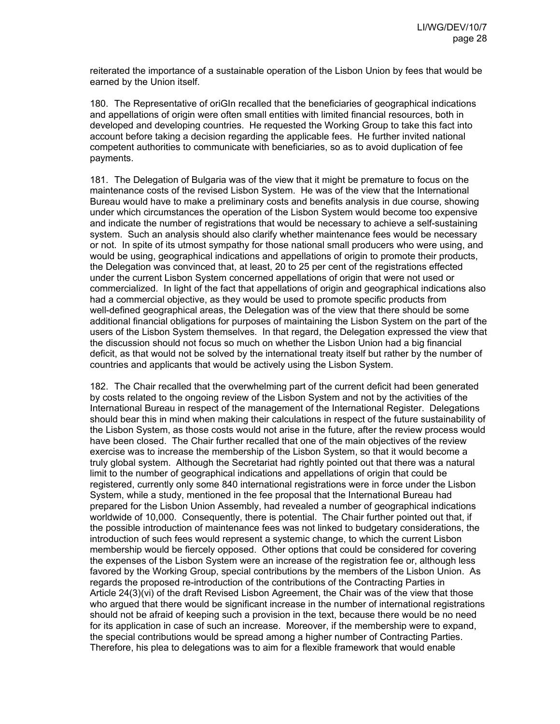reiterated the importance of a sustainable operation of the Lisbon Union by fees that would be earned by the Union itself.

180. The Representative of oriGIn recalled that the beneficiaries of geographical indications and appellations of origin were often small entities with limited financial resources, both in developed and developing countries. He requested the Working Group to take this fact into account before taking a decision regarding the applicable fees. He further invited national competent authorities to communicate with beneficiaries, so as to avoid duplication of fee payments.

181. The Delegation of Bulgaria was of the view that it might be premature to focus on the maintenance costs of the revised Lisbon System. He was of the view that the International Bureau would have to make a preliminary costs and benefits analysis in due course, showing under which circumstances the operation of the Lisbon System would become too expensive and indicate the number of registrations that would be necessary to achieve a self-sustaining system. Such an analysis should also clarify whether maintenance fees would be necessary or not. In spite of its utmost sympathy for those national small producers who were using, and would be using, geographical indications and appellations of origin to promote their products, the Delegation was convinced that, at least, 20 to 25 per cent of the registrations effected under the current Lisbon System concerned appellations of origin that were not used or commercialized. In light of the fact that appellations of origin and geographical indications also had a commercial objective, as they would be used to promote specific products from well-defined geographical areas, the Delegation was of the view that there should be some additional financial obligations for purposes of maintaining the Lisbon System on the part of the users of the Lisbon System themselves. In that regard, the Delegation expressed the view that the discussion should not focus so much on whether the Lisbon Union had a big financial deficit, as that would not be solved by the international treaty itself but rather by the number of countries and applicants that would be actively using the Lisbon System.

182. The Chair recalled that the overwhelming part of the current deficit had been generated by costs related to the ongoing review of the Lisbon System and not by the activities of the International Bureau in respect of the management of the International Register. Delegations should bear this in mind when making their calculations in respect of the future sustainability of the Lisbon System, as those costs would not arise in the future, after the review process would have been closed. The Chair further recalled that one of the main objectives of the review exercise was to increase the membership of the Lisbon System, so that it would become a truly global system. Although the Secretariat had rightly pointed out that there was a natural limit to the number of geographical indications and appellations of origin that could be registered, currently only some 840 international registrations were in force under the Lisbon System, while a study, mentioned in the fee proposal that the International Bureau had prepared for the Lisbon Union Assembly, had revealed a number of geographical indications worldwide of 10,000. Consequently, there is potential. The Chair further pointed out that, if the possible introduction of maintenance fees was not linked to budgetary considerations, the introduction of such fees would represent a systemic change, to which the current Lisbon membership would be fiercely opposed. Other options that could be considered for covering the expenses of the Lisbon System were an increase of the registration fee or, although less favored by the Working Group, special contributions by the members of the Lisbon Union. As regards the proposed re-introduction of the contributions of the Contracting Parties in Article 24(3)(vi) of the draft Revised Lisbon Agreement, the Chair was of the view that those who argued that there would be significant increase in the number of international registrations should not be afraid of keeping such a provision in the text, because there would be no need for its application in case of such an increase. Moreover, if the membership were to expand, the special contributions would be spread among a higher number of Contracting Parties. Therefore, his plea to delegations was to aim for a flexible framework that would enable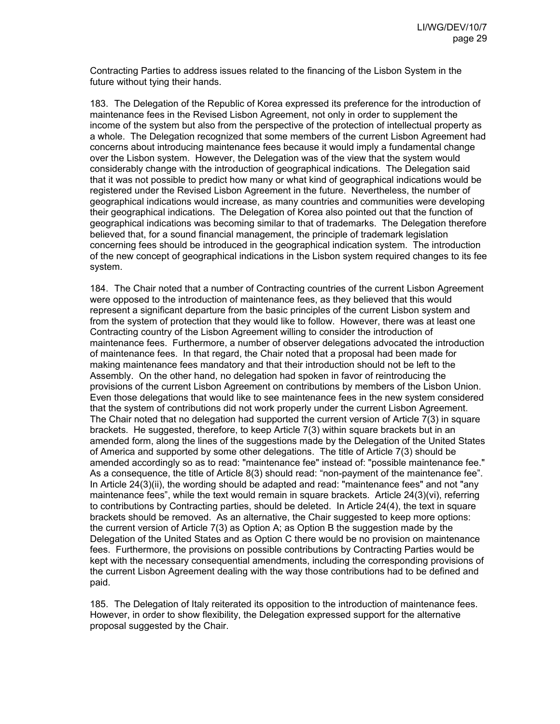Contracting Parties to address issues related to the financing of the Lisbon System in the future without tying their hands.

183. The Delegation of the Republic of Korea expressed its preference for the introduction of maintenance fees in the Revised Lisbon Agreement, not only in order to supplement the income of the system but also from the perspective of the protection of intellectual property as a whole. The Delegation recognized that some members of the current Lisbon Agreement had concerns about introducing maintenance fees because it would imply a fundamental change over the Lisbon system. However, the Delegation was of the view that the system would considerably change with the introduction of geographical indications. The Delegation said that it was not possible to predict how many or what kind of geographical indications would be registered under the Revised Lisbon Agreement in the future. Nevertheless, the number of geographical indications would increase, as many countries and communities were developing their geographical indications. The Delegation of Korea also pointed out that the function of geographical indications was becoming similar to that of trademarks. The Delegation therefore believed that, for a sound financial management, the principle of trademark legislation concerning fees should be introduced in the geographical indication system. The introduction of the new concept of geographical indications in the Lisbon system required changes to its fee system.

184. The Chair noted that a number of Contracting countries of the current Lisbon Agreement were opposed to the introduction of maintenance fees, as they believed that this would represent a significant departure from the basic principles of the current Lisbon system and from the system of protection that they would like to follow. However, there was at least one Contracting country of the Lisbon Agreement willing to consider the introduction of maintenance fees. Furthermore, a number of observer delegations advocated the introduction of maintenance fees. In that regard, the Chair noted that a proposal had been made for making maintenance fees mandatory and that their introduction should not be left to the Assembly. On the other hand, no delegation had spoken in favor of reintroducing the provisions of the current Lisbon Agreement on contributions by members of the Lisbon Union. Even those delegations that would like to see maintenance fees in the new system considered that the system of contributions did not work properly under the current Lisbon Agreement. The Chair noted that no delegation had supported the current version of Article 7(3) in square brackets. He suggested, therefore, to keep Article 7(3) within square brackets but in an amended form, along the lines of the suggestions made by the Delegation of the United States of America and supported by some other delegations. The title of Article 7(3) should be amended accordingly so as to read: "maintenance fee" instead of: "possible maintenance fee." As a consequence, the title of Article 8(3) should read: "non-payment of the maintenance fee". In Article 24(3)(ii), the wording should be adapted and read: "maintenance fees" and not "any maintenance fees", while the text would remain in square brackets. Article 24(3)(vi), referring to contributions by Contracting parties, should be deleted. In Article 24(4), the text in square brackets should be removed. As an alternative, the Chair suggested to keep more options: the current version of Article 7(3) as Option A; as Option B the suggestion made by the Delegation of the United States and as Option C there would be no provision on maintenance fees. Furthermore, the provisions on possible contributions by Contracting Parties would be kept with the necessary consequential amendments, including the corresponding provisions of the current Lisbon Agreement dealing with the way those contributions had to be defined and paid.

185. The Delegation of Italy reiterated its opposition to the introduction of maintenance fees. However, in order to show flexibility, the Delegation expressed support for the alternative proposal suggested by the Chair.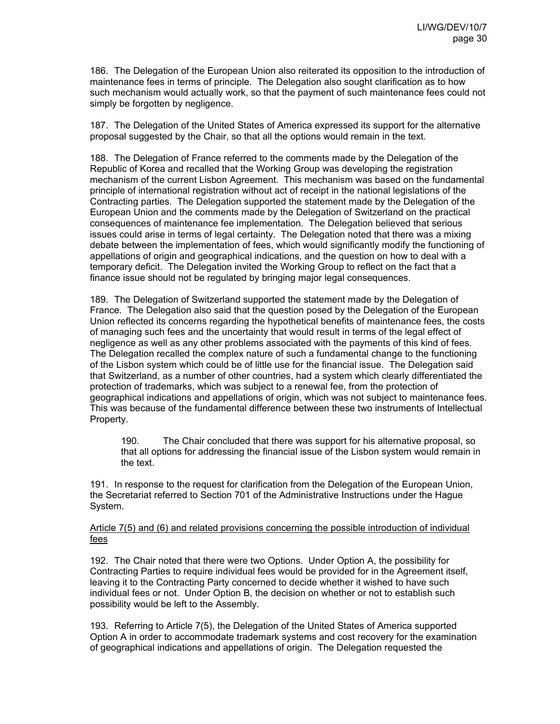186. The Delegation of the European Union also reiterated its opposition to the introduction of maintenance fees in terms of principle. The Delegation also sought clarification as to how such mechanism would actually work, so that the payment of such maintenance fees could not simply be forgotten by negligence.

187. The Delegation of the United States of America expressed its support for the alternative proposal suggested by the Chair, so that all the options would remain in the text.

188. The Delegation of France referred to the comments made by the Delegation of the Republic of Korea and recalled that the Working Group was developing the registration mechanism of the current Lisbon Agreement. This mechanism was based on the fundamental principle of international registration without act of receipt in the national legislations of the Contracting parties. The Delegation supported the statement made by the Delegation of the European Union and the comments made by the Delegation of Switzerland on the practical consequences of maintenance fee implementation. The Delegation believed that serious issues could arise in terms of legal certainty. The Delegation noted that there was a mixing debate between the implementation of fees, which would significantly modify the functioning of appellations of origin and geographical indications, and the question on how to deal with a temporary deficit. The Delegation invited the Working Group to reflect on the fact that a finance issue should not be regulated by bringing major legal consequences.

189. The Delegation of Switzerland supported the statement made by the Delegation of France. The Delegation also said that the question posed by the Delegation of the European Union reflected its concerns regarding the hypothetical benefits of maintenance fees, the costs of managing such fees and the uncertainty that would result in terms of the legal effect of negligence as well as any other problems associated with the payments of this kind of fees. The Delegation recalled the complex nature of such a fundamental change to the functioning of the Lisbon system which could be of little use for the financial issue. The Delegation said that Switzerland, as a number of other countries, had a system which clearly differentiated the protection of trademarks, which was subject to a renewal fee, from the protection of geographical indications and appellations of origin, which was not subject to maintenance fees. This was because of the fundamental difference between these two instruments of Intellectual Property.

190. The Chair concluded that there was support for his alternative proposal, so that all options for addressing the financial issue of the Lisbon system would remain in the text.

191. In response to the request for clarification from the Delegation of the European Union, the Secretariat referred to Section 701 of the Administrative Instructions under the Hague System.

### Article 7(5) and (6) and related provisions concerning the possible introduction of individual fees

192. The Chair noted that there were two Options. Under Option A, the possibility for Contracting Parties to require individual fees would be provided for in the Agreement itself, leaving it to the Contracting Party concerned to decide whether it wished to have such individual fees or not. Under Option B, the decision on whether or not to establish such possibility would be left to the Assembly.

193. Referring to Article 7(5), the Delegation of the United States of America supported Option A in order to accommodate trademark systems and cost recovery for the examination of geographical indications and appellations of origin. The Delegation requested the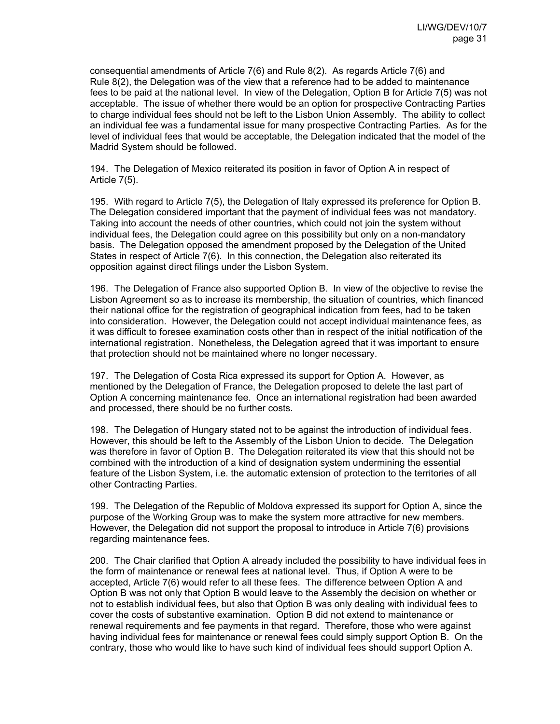consequential amendments of Article 7(6) and Rule 8(2). As regards Article 7(6) and Rule 8(2), the Delegation was of the view that a reference had to be added to maintenance fees to be paid at the national level. In view of the Delegation, Option B for Article 7(5) was not acceptable. The issue of whether there would be an option for prospective Contracting Parties to charge individual fees should not be left to the Lisbon Union Assembly. The ability to collect an individual fee was a fundamental issue for many prospective Contracting Parties. As for the level of individual fees that would be acceptable, the Delegation indicated that the model of the Madrid System should be followed.

194. The Delegation of Mexico reiterated its position in favor of Option A in respect of Article 7(5).

195. With regard to Article 7(5), the Delegation of Italy expressed its preference for Option B. The Delegation considered important that the payment of individual fees was not mandatory. Taking into account the needs of other countries, which could not join the system without individual fees, the Delegation could agree on this possibility but only on a non-mandatory basis. The Delegation opposed the amendment proposed by the Delegation of the United States in respect of Article 7(6). In this connection, the Delegation also reiterated its opposition against direct filings under the Lisbon System.

196. The Delegation of France also supported Option B. In view of the objective to revise the Lisbon Agreement so as to increase its membership, the situation of countries, which financed their national office for the registration of geographical indication from fees, had to be taken into consideration. However, the Delegation could not accept individual maintenance fees, as it was difficult to foresee examination costs other than in respect of the initial notification of the international registration. Nonetheless, the Delegation agreed that it was important to ensure that protection should not be maintained where no longer necessary.

197. The Delegation of Costa Rica expressed its support for Option A. However, as mentioned by the Delegation of France, the Delegation proposed to delete the last part of Option A concerning maintenance fee. Once an international registration had been awarded and processed, there should be no further costs.

198. The Delegation of Hungary stated not to be against the introduction of individual fees. However, this should be left to the Assembly of the Lisbon Union to decide. The Delegation was therefore in favor of Option B. The Delegation reiterated its view that this should not be combined with the introduction of a kind of designation system undermining the essential feature of the Lisbon System, i.e. the automatic extension of protection to the territories of all other Contracting Parties.

199. The Delegation of the Republic of Moldova expressed its support for Option A, since the purpose of the Working Group was to make the system more attractive for new members. However, the Delegation did not support the proposal to introduce in Article 7(6) provisions regarding maintenance fees.

200. The Chair clarified that Option A already included the possibility to have individual fees in the form of maintenance or renewal fees at national level. Thus, if Option A were to be accepted, Article 7(6) would refer to all these fees. The difference between Option A and Option B was not only that Option B would leave to the Assembly the decision on whether or not to establish individual fees, but also that Option B was only dealing with individual fees to cover the costs of substantive examination. Option B did not extend to maintenance or renewal requirements and fee payments in that regard. Therefore, those who were against having individual fees for maintenance or renewal fees could simply support Option B. On the contrary, those who would like to have such kind of individual fees should support Option A.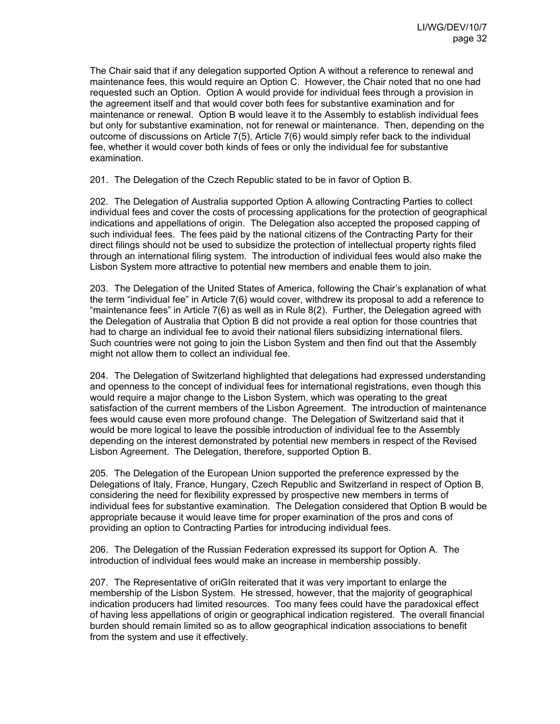The Chair said that if any delegation supported Option A without a reference to renewal and maintenance fees, this would require an Option C. However, the Chair noted that no one had requested such an Option. Option A would provide for individual fees through a provision in the agreement itself and that would cover both fees for substantive examination and for maintenance or renewal. Option B would leave it to the Assembly to establish individual fees but only for substantive examination, not for renewal or maintenance. Then, depending on the outcome of discussions on Article 7(5), Article 7(6) would simply refer back to the individual fee, whether it would cover both kinds of fees or only the individual fee for substantive examination.

201. The Delegation of the Czech Republic stated to be in favor of Option B.

202. The Delegation of Australia supported Option A allowing Contracting Parties to collect individual fees and cover the costs of processing applications for the protection of geographical indications and appellations of origin. The Delegation also accepted the proposed capping of such individual fees. The fees paid by the national citizens of the Contracting Party for their direct filings should not be used to subsidize the protection of intellectual property rights filed through an international filing system. The introduction of individual fees would also make the Lisbon System more attractive to potential new members and enable them to join.

203. The Delegation of the United States of America, following the Chair's explanation of what the term "individual fee" in Article 7(6) would cover, withdrew its proposal to add a reference to "maintenance fees" in Article 7(6) as well as in Rule 8(2). Further, the Delegation agreed with the Delegation of Australia that Option B did not provide a real option for those countries that had to charge an individual fee to avoid their national filers subsidizing international filers. Such countries were not going to join the Lisbon System and then find out that the Assembly might not allow them to collect an individual fee.

204. The Delegation of Switzerland highlighted that delegations had expressed understanding and openness to the concept of individual fees for international registrations, even though this would require a major change to the Lisbon System, which was operating to the great satisfaction of the current members of the Lisbon Agreement. The introduction of maintenance fees would cause even more profound change. The Delegation of Switzerland said that it would be more logical to leave the possible introduction of individual fee to the Assembly depending on the interest demonstrated by potential new members in respect of the Revised Lisbon Agreement. The Delegation, therefore, supported Option B.

205. The Delegation of the European Union supported the preference expressed by the Delegations of Italy, France, Hungary, Czech Republic and Switzerland in respect of Option B, considering the need for flexibility expressed by prospective new members in terms of individual fees for substantive examination. The Delegation considered that Option B would be appropriate because it would leave time for proper examination of the pros and cons of providing an option to Contracting Parties for introducing individual fees.

206. The Delegation of the Russian Federation expressed its support for Option A. The introduction of individual fees would make an increase in membership possibly.

207. The Representative of oriGIn reiterated that it was very important to enlarge the membership of the Lisbon System. He stressed, however, that the majority of geographical indication producers had limited resources. Too many fees could have the paradoxical effect of having less appellations of origin or geographical indication registered. The overall financial burden should remain limited so as to allow geographical indication associations to benefit from the system and use it effectively.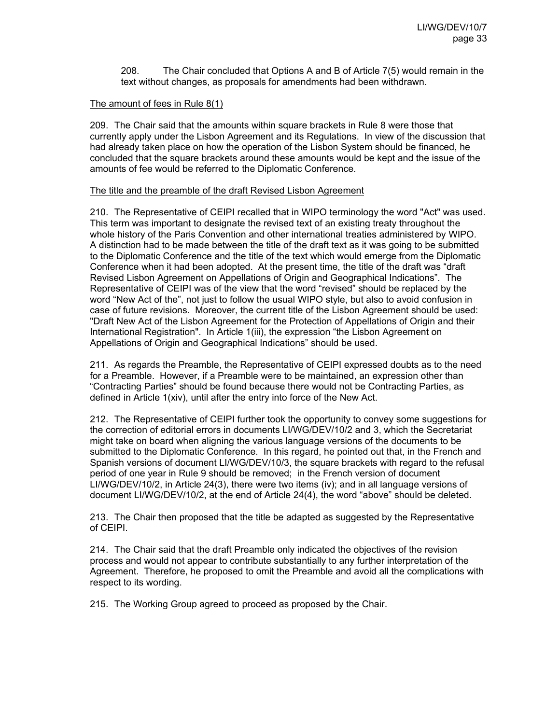208. The Chair concluded that Options A and B of Article 7(5) would remain in the text without changes, as proposals for amendments had been withdrawn.

# The amount of fees in Rule 8(1)

209. The Chair said that the amounts within square brackets in Rule 8 were those that currently apply under the Lisbon Agreement and its Regulations. In view of the discussion that had already taken place on how the operation of the Lisbon System should be financed, he concluded that the square brackets around these amounts would be kept and the issue of the amounts of fee would be referred to the Diplomatic Conference.

### The title and the preamble of the draft Revised Lisbon Agreement

210. The Representative of CEIPI recalled that in WIPO terminology the word "Act" was used. This term was important to designate the revised text of an existing treaty throughout the whole history of the Paris Convention and other international treaties administered by WIPO. A distinction had to be made between the title of the draft text as it was going to be submitted to the Diplomatic Conference and the title of the text which would emerge from the Diplomatic Conference when it had been adopted. At the present time, the title of the draft was "draft Revised Lisbon Agreement on Appellations of Origin and Geographical Indications". The Representative of CEIPI was of the view that the word "revised" should be replaced by the word "New Act of the", not just to follow the usual WIPO style, but also to avoid confusion in case of future revisions. Moreover, the current title of the Lisbon Agreement should be used: "Draft New Act of the Lisbon Agreement for the Protection of Appellations of Origin and their International Registration". In Article 1(iii), the expression "the Lisbon Agreement on Appellations of Origin and Geographical Indications" should be used.

211. As regards the Preamble, the Representative of CEIPI expressed doubts as to the need for a Preamble. However, if a Preamble were to be maintained, an expression other than "Contracting Parties" should be found because there would not be Contracting Parties, as defined in Article 1(xiv), until after the entry into force of the New Act.

212. The Representative of CEIPI further took the opportunity to convey some suggestions for the correction of editorial errors in documents LI/WG/DEV/10/2 and 3, which the Secretariat might take on board when aligning the various language versions of the documents to be submitted to the Diplomatic Conference. In this regard, he pointed out that, in the French and Spanish versions of document LI/WG/DEV/10/3, the square brackets with regard to the refusal period of one year in Rule 9 should be removed; in the French version of document LI/WG/DEV/10/2, in Article 24(3), there were two items (iv); and in all language versions of document LI/WG/DEV/10/2, at the end of Article 24(4), the word "above" should be deleted.

213. The Chair then proposed that the title be adapted as suggested by the Representative of CEIPI.

214. The Chair said that the draft Preamble only indicated the objectives of the revision process and would not appear to contribute substantially to any further interpretation of the Agreement. Therefore, he proposed to omit the Preamble and avoid all the complications with respect to its wording.

215. The Working Group agreed to proceed as proposed by the Chair.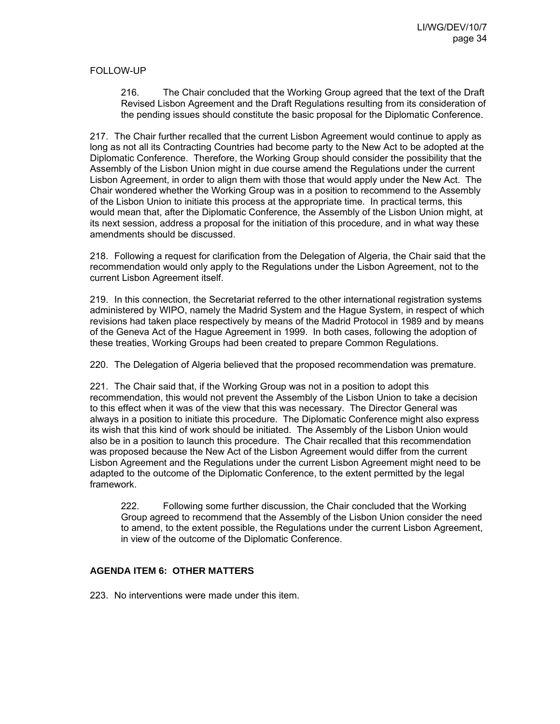# FOLLOW-UP

216. The Chair concluded that the Working Group agreed that the text of the Draft Revised Lisbon Agreement and the Draft Regulations resulting from its consideration of the pending issues should constitute the basic proposal for the Diplomatic Conference.

217. The Chair further recalled that the current Lisbon Agreement would continue to apply as long as not all its Contracting Countries had become party to the New Act to be adopted at the Diplomatic Conference. Therefore, the Working Group should consider the possibility that the Assembly of the Lisbon Union might in due course amend the Regulations under the current Lisbon Agreement, in order to align them with those that would apply under the New Act. The Chair wondered whether the Working Group was in a position to recommend to the Assembly of the Lisbon Union to initiate this process at the appropriate time. In practical terms, this would mean that, after the Diplomatic Conference, the Assembly of the Lisbon Union might, at its next session, address a proposal for the initiation of this procedure, and in what way these amendments should be discussed.

218. Following a request for clarification from the Delegation of Algeria, the Chair said that the recommendation would only apply to the Regulations under the Lisbon Agreement, not to the current Lisbon Agreement itself.

219. In this connection, the Secretariat referred to the other international registration systems administered by WIPO, namely the Madrid System and the Hague System, in respect of which revisions had taken place respectively by means of the Madrid Protocol in 1989 and by means of the Geneva Act of the Hague Agreement in 1999. In both cases, following the adoption of these treaties, Working Groups had been created to prepare Common Regulations.

220. The Delegation of Algeria believed that the proposed recommendation was premature.

221. The Chair said that, if the Working Group was not in a position to adopt this recommendation, this would not prevent the Assembly of the Lisbon Union to take a decision to this effect when it was of the view that this was necessary. The Director General was always in a position to initiate this procedure. The Diplomatic Conference might also express its wish that this kind of work should be initiated. The Assembly of the Lisbon Union would also be in a position to launch this procedure. The Chair recalled that this recommendation was proposed because the New Act of the Lisbon Agreement would differ from the current Lisbon Agreement and the Regulations under the current Lisbon Agreement might need to be adapted to the outcome of the Diplomatic Conference, to the extent permitted by the legal framework.

222. Following some further discussion, the Chair concluded that the Working Group agreed to recommend that the Assembly of the Lisbon Union consider the need to amend, to the extent possible, the Regulations under the current Lisbon Agreement, in view of the outcome of the Diplomatic Conference.

# **AGENDA ITEM 6: OTHER MATTERS**

223. No interventions were made under this item.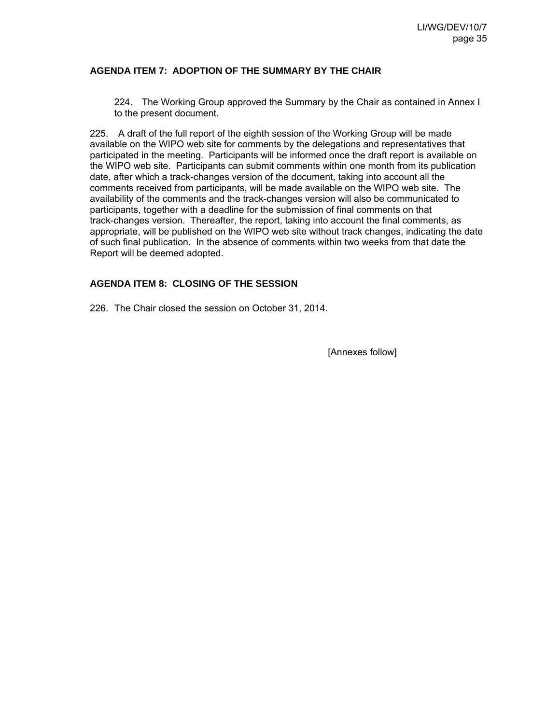# **AGENDA ITEM 7: ADOPTION OF THE SUMMARY BY THE CHAIR**

224. The Working Group approved the Summary by the Chair as contained in Annex I to the present document.

225. A draft of the full report of the eighth session of the Working Group will be made available on the WIPO web site for comments by the delegations and representatives that participated in the meeting. Participants will be informed once the draft report is available on the WIPO web site. Participants can submit comments within one month from its publication date, after which a track-changes version of the document, taking into account all the comments received from participants, will be made available on the WIPO web site. The availability of the comments and the track-changes version will also be communicated to participants, together with a deadline for the submission of final comments on that track-changes version. Thereafter, the report, taking into account the final comments, as appropriate, will be published on the WIPO web site without track changes, indicating the date of such final publication. In the absence of comments within two weeks from that date the Report will be deemed adopted.

# **AGENDA ITEM 8: CLOSING OF THE SESSION**

226. The Chair closed the session on October 31, 2014.

[Annexes follow]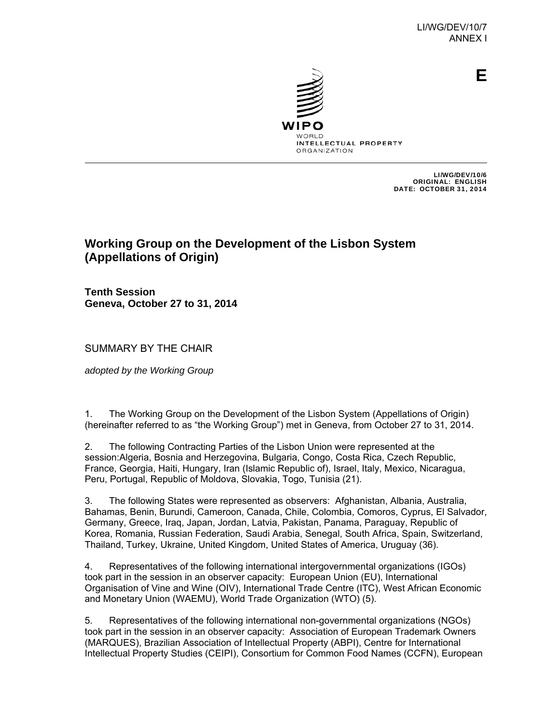

**E**

INTELLECTUAL PROPERTY **ORGANIZATION** 

> LI/WG/DEV/10/6 ORIGINAL: ENGLISH DATE: OCTOBER 31, 2014

# **Working Group on the Development of the Lisbon System (Appellations of Origin)**

**Tenth Session Geneva, October 27 to 31, 2014** 

SUMMARY BY THE CHAIR

*adopted by the Working Group*

1. The Working Group on the Development of the Lisbon System (Appellations of Origin) (hereinafter referred to as "the Working Group") met in Geneva, from October 27 to 31, 2014.

2. The following Contracting Parties of the Lisbon Union were represented at the session:Algeria, Bosnia and Herzegovina, Bulgaria, Congo, Costa Rica, Czech Republic, France, Georgia, Haiti, Hungary, Iran (Islamic Republic of), Israel, Italy, Mexico, Nicaragua, Peru, Portugal, Republic of Moldova, Slovakia, Togo, Tunisia (21).

3. The following States were represented as observers: Afghanistan, Albania, Australia, Bahamas, Benin, Burundi, Cameroon, Canada, Chile, Colombia, Comoros, Cyprus, El Salvador, Germany, Greece, Iraq, Japan, Jordan, Latvia, Pakistan, Panama, Paraguay, Republic of Korea, Romania, Russian Federation, Saudi Arabia, Senegal, South Africa, Spain, Switzerland, Thailand, Turkey, Ukraine, United Kingdom, United States of America, Uruguay (36).

4. Representatives of the following international intergovernmental organizations (IGOs) took part in the session in an observer capacity: European Union (EU), International Organisation of Vine and Wine (OIV), International Trade Centre (ITC), West African Economic and Monetary Union (WAEMU), World Trade Organization (WTO) (5).

5. Representatives of the following international non-governmental organizations (NGOs) took part in the session in an observer capacity: Association of European Trademark Owners (MARQUES), Brazilian Association of Intellectual Property (ABPI), Centre for International Intellectual Property Studies (CEIPI), Consortium for Common Food Names (CCFN), European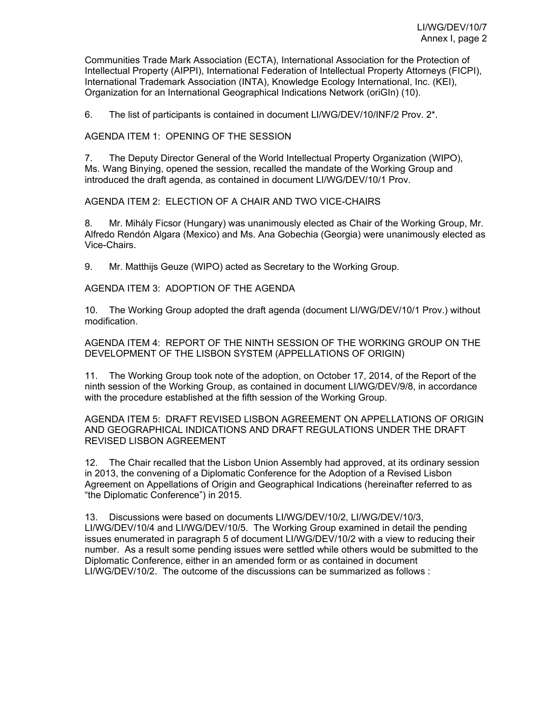Communities Trade Mark Association (ECTA), International Association for the Protection of Intellectual Property (AIPPI), International Federation of Intellectual Property Attorneys (FICPI), International Trademark Association (INTA), Knowledge Ecology International, Inc. (KEI), Organization for an International Geographical Indications Network (oriGIn) (10).

6. The list of participants is contained in document LI/WG/DEV/10/INF/2 Prov. 2\*.

AGENDA ITEM 1: OPENING OF THE SESSION

7. The Deputy Director General of the World Intellectual Property Organization (WIPO), Ms. Wang Binying, opened the session, recalled the mandate of the Working Group and introduced the draft agenda, as contained in document LI/WG/DEV/10/1 Prov.

AGENDA ITEM 2: ELECTION OF A CHAIR AND TWO VICE-CHAIRS

8. Mr. Mihály Ficsor (Hungary) was unanimously elected as Chair of the Working Group, Mr. Alfredo Rendón Algara (Mexico) and Ms. Ana Gobechia (Georgia) were unanimously elected as Vice-Chairs.

9. Mr. Matthijs Geuze (WIPO) acted as Secretary to the Working Group.

AGENDA ITEM 3: ADOPTION OF THE AGENDA

10. The Working Group adopted the draft agenda (document LI/WG/DEV/10/1 Prov.) without modification.

AGENDA ITEM 4: REPORT OF THE NINTH SESSION OF THE WORKING GROUP ON THE DEVELOPMENT OF THE LISBON SYSTEM (APPELLATIONS OF ORIGIN)

11. The Working Group took note of the adoption, on October 17, 2014, of the Report of the ninth session of the Working Group, as contained in document LI/WG/DEV/9/8, in accordance with the procedure established at the fifth session of the Working Group.

AGENDA ITEM 5: DRAFT REVISED LISBON AGREEMENT ON APPELLATIONS OF ORIGIN AND GEOGRAPHICAL INDICATIONS AND DRAFT REGULATIONS UNDER THE DRAFT REVISED LISBON AGREEMENT

12. The Chair recalled that the Lisbon Union Assembly had approved, at its ordinary session in 2013, the convening of a Diplomatic Conference for the Adoption of a Revised Lisbon Agreement on Appellations of Origin and Geographical Indications (hereinafter referred to as "the Diplomatic Conference") in 2015.

13. Discussions were based on documents LI/WG/DEV/10/2, LI/WG/DEV/10/3, LI/WG/DEV/10/4 and LI/WG/DEV/10/5. The Working Group examined in detail the pending issues enumerated in paragraph 5 of document LI/WG/DEV/10/2 with a view to reducing their number. As a result some pending issues were settled while others would be submitted to the Diplomatic Conference, either in an amended form or as contained in document LI/WG/DEV/10/2. The outcome of the discussions can be summarized as follows :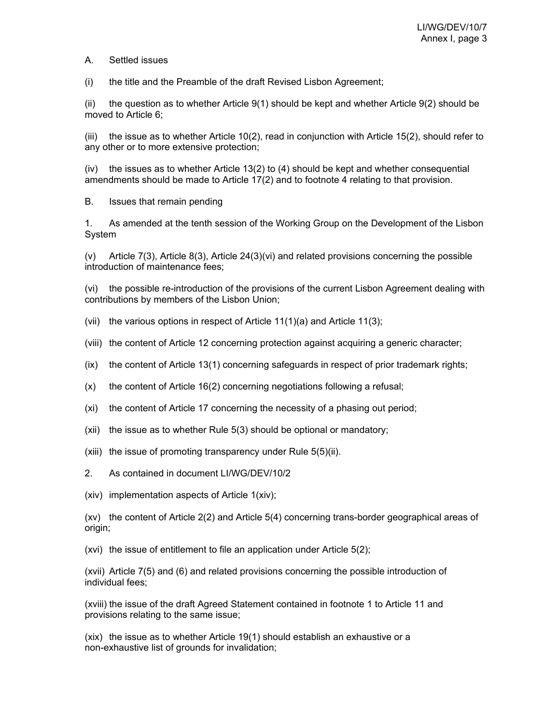A. Settled issues

(i) the title and the Preamble of the draft Revised Lisbon Agreement;

(ii) the question as to whether Article  $9(1)$  should be kept and whether Article  $9(2)$  should be moved to Article 6;

(iii) the issue as to whether Article 10(2), read in conjunction with Article 15(2), should refer to any other or to more extensive protection;

 $(iv)$  the issues as to whether Article 13(2) to (4) should be kept and whether consequential amendments should be made to Article 17(2) and to footnote 4 relating to that provision.

B. Issues that remain pending

1. As amended at the tenth session of the Working Group on the Development of the Lisbon System

(v) Article 7(3), Article 8(3), Article 24(3)(vi) and related provisions concerning the possible introduction of maintenance fees;

(vi) the possible re-introduction of the provisions of the current Lisbon Agreement dealing with contributions by members of the Lisbon Union;

- (vii) the various options in respect of Article  $11(1)(a)$  and Article  $11(3)$ ;
- (viii) the content of Article 12 concerning protection against acquiring a generic character;
- (ix) the content of Article 13(1) concerning safeguards in respect of prior trademark rights;
- (x) the content of Article 16(2) concerning negotiations following a refusal;
- (xi) the content of Article 17 concerning the necessity of a phasing out period;
- (xii) the issue as to whether Rule 5(3) should be optional or mandatory;
- (xiii) the issue of promoting transparency under Rule 5(5)(ii).
- 2. As contained in document LI/WG/DEV/10/2
- (xiv) implementation aspects of Article 1(xiv);

(xv) the content of Article 2(2) and Article 5(4) concerning trans-border geographical areas of origin;

(xvi) the issue of entitlement to file an application under Article 5(2);

(xvii) Article 7(5) and (6) and related provisions concerning the possible introduction of individual fees;

(xviii) the issue of the draft Agreed Statement contained in footnote 1 to Article 11 and provisions relating to the same issue;

(xix) the issue as to whether Article 19(1) should establish an exhaustive or a non-exhaustive list of grounds for invalidation;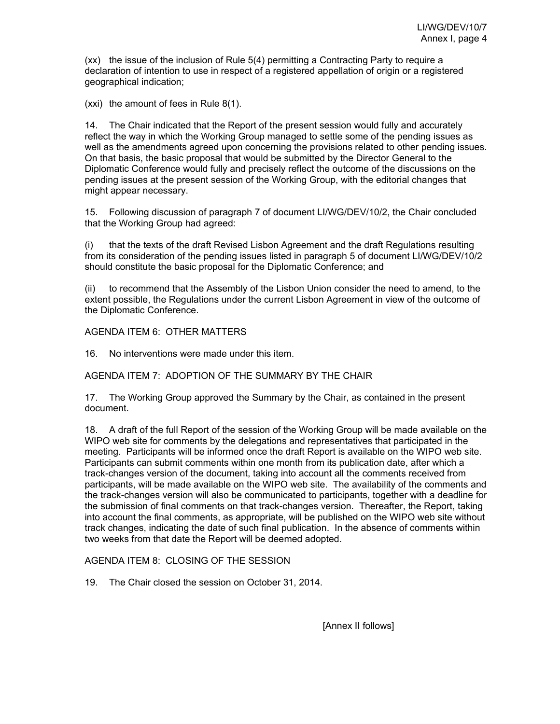(xx) the issue of the inclusion of Rule 5(4) permitting a Contracting Party to require a declaration of intention to use in respect of a registered appellation of origin or a registered geographical indication;

(xxi) the amount of fees in Rule 8(1).

14. The Chair indicated that the Report of the present session would fully and accurately reflect the way in which the Working Group managed to settle some of the pending issues as well as the amendments agreed upon concerning the provisions related to other pending issues. On that basis, the basic proposal that would be submitted by the Director General to the Diplomatic Conference would fully and precisely reflect the outcome of the discussions on the pending issues at the present session of the Working Group, with the editorial changes that might appear necessary.

15. Following discussion of paragraph 7 of document LI/WG/DEV/10/2, the Chair concluded that the Working Group had agreed:

(i) that the texts of the draft Revised Lisbon Agreement and the draft Regulations resulting from its consideration of the pending issues listed in paragraph 5 of document LI/WG/DEV/10/2 should constitute the basic proposal for the Diplomatic Conference; and

(ii) to recommend that the Assembly of the Lisbon Union consider the need to amend, to the extent possible, the Regulations under the current Lisbon Agreement in view of the outcome of the Diplomatic Conference.

### AGENDA ITEM 6: OTHER MATTERS

16. No interventions were made under this item.

AGENDA ITEM 7: ADOPTION OF THE SUMMARY BY THE CHAIR

17. The Working Group approved the Summary by the Chair, as contained in the present document.

18. A draft of the full Report of the session of the Working Group will be made available on the WIPO web site for comments by the delegations and representatives that participated in the meeting. Participants will be informed once the draft Report is available on the WIPO web site. Participants can submit comments within one month from its publication date, after which a track-changes version of the document, taking into account all the comments received from participants, will be made available on the WIPO web site. The availability of the comments and the track-changes version will also be communicated to participants, together with a deadline for the submission of final comments on that track-changes version. Thereafter, the Report, taking into account the final comments, as appropriate, will be published on the WIPO web site without track changes, indicating the date of such final publication. In the absence of comments within two weeks from that date the Report will be deemed adopted.

AGENDA ITEM 8: CLOSING OF THE SESSION

19. The Chair closed the session on October 31, 2014.

[Annex II follows]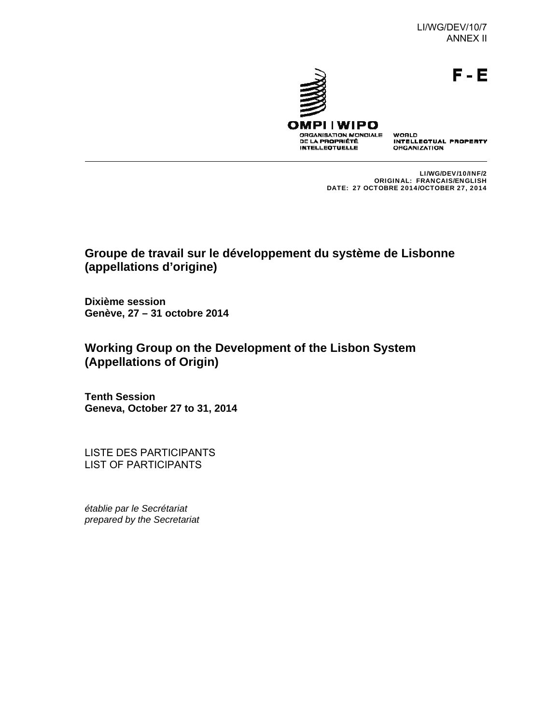F-E



WORLD<br>INTELLECTUAL PROPERTY ORGANIZATION

LI/WG/DEV/10/INF/2 ORIGINAL: FRANÇAIS/ENGLISH DATE: 27 OCTOBRE 2014/OCTOBER 27, 2014

# **Groupe de travail sur le développement du système de Lisbonne (appellations d'origine)**

**Dixième session Genève, 27 – 31 octobre 2014**

**Working Group on the Development of the Lisbon System (Appellations of Origin)** 

**Tenth Session Geneva, October 27 to 31, 2014**

LISTE DES PARTICIPANTS LIST OF PARTICIPANTS

*établie par le Secrétariat prepared by the Secretariat*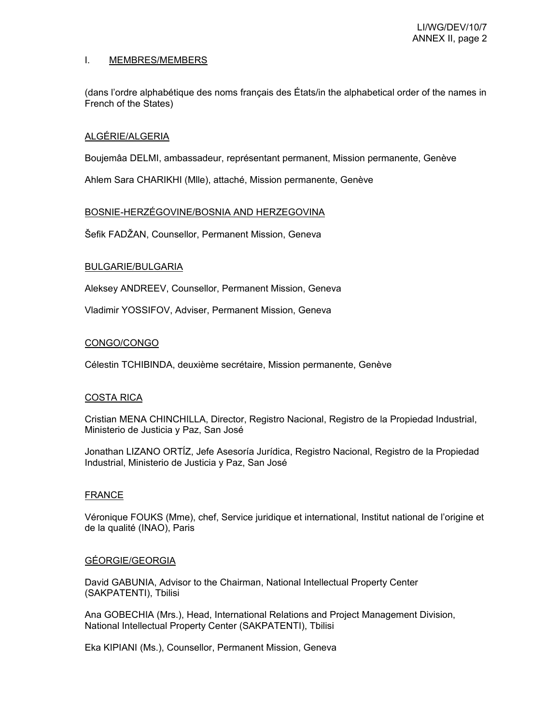### I. MEMBRES/MEMBERS

(dans l'ordre alphabétique des noms français des États/in the alphabetical order of the names in French of the States)

### ALGÉRIE/ALGERIA

Boujemâa DELMI, ambassadeur, représentant permanent, Mission permanente, Genève

Ahlem Sara CHARIKHI (Mlle), attaché, Mission permanente, Genève

### BOSNIE-HERZÉGOVINE/BOSNIA AND HERZEGOVINA

Šefik FADŽAN, Counsellor, Permanent Mission, Geneva

# BULGARIE/BULGARIA

Aleksey ANDREEV, Counsellor, Permanent Mission, Geneva

Vladimir YOSSIFOV, Adviser, Permanent Mission, Geneva

### CONGO/CONGO

Célestin TCHIBINDA, deuxième secrétaire, Mission permanente, Genève

# COSTA RICA

Cristian MENA CHINCHILLA, Director, Registro Nacional, Registro de la Propiedad Industrial, Ministerio de Justicia y Paz, San José

Jonathan LIZANO ORTĺZ, Jefe Asesoría Jurídica, Registro Nacional, Registro de la Propiedad Industrial, Ministerio de Justicia y Paz, San José

### **FRANCE**

Véronique FOUKS (Mme), chef, Service juridique et international, Institut national de l'origine et de la qualité (INAO), Paris

### GÉORGIE/GEORGIA

David GABUNIA, Advisor to the Chairman, National Intellectual Property Center (SAKPATENTI), Tbilisi

Ana GOBECHIA (Mrs.), Head, International Relations and Project Management Division, National Intellectual Property Center (SAKPATENTI), Tbilisi

Eka KIPIANI (Ms.), Counsellor, Permanent Mission, Geneva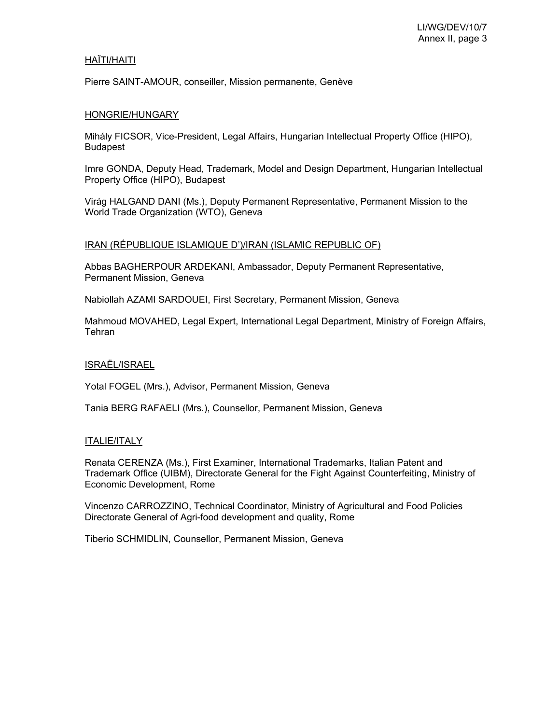### HAÏTI/HAITI

Pierre SAINT-AMOUR, conseiller, Mission permanente, Genève

### HONGRIE/HUNGARY

Mihály FICSOR, Vice-President, Legal Affairs, Hungarian Intellectual Property Office (HIPO), Budapest

Imre GONDA, Deputy Head, Trademark, Model and Design Department, Hungarian Intellectual Property Office (HIPO), Budapest

Virág HALGAND DANI (Ms.), Deputy Permanent Representative, Permanent Mission to the World Trade Organization (WTO), Geneva

# IRAN (RÉPUBLIQUE ISLAMIQUE D')/IRAN (ISLAMIC REPUBLIC OF)

Abbas BAGHERPOUR ARDEKANI, Ambassador, Deputy Permanent Representative, Permanent Mission, Geneva

Nabiollah AZAMI SARDOUEI, First Secretary, Permanent Mission, Geneva

Mahmoud MOVAHED, Legal Expert, International Legal Department, Ministry of Foreign Affairs, **Tehran** 

# ISRAËL/ISRAEL

Yotal FOGEL (Mrs.), Advisor, Permanent Mission, Geneva

Tania BERG RAFAELI (Mrs.), Counsellor, Permanent Mission, Geneva

### ITALIE/ITALY

Renata CERENZA (Ms.), First Examiner, International Trademarks, Italian Patent and Trademark Office (UIBM), Directorate General for the Fight Against Counterfeiting, Ministry of Economic Development, Rome

Vincenzo CARROZZINO, Technical Coordinator, Ministry of Agricultural and Food Policies Directorate General of Agri-food development and quality, Rome

Tiberio SCHMIDLIN, Counsellor, Permanent Mission, Geneva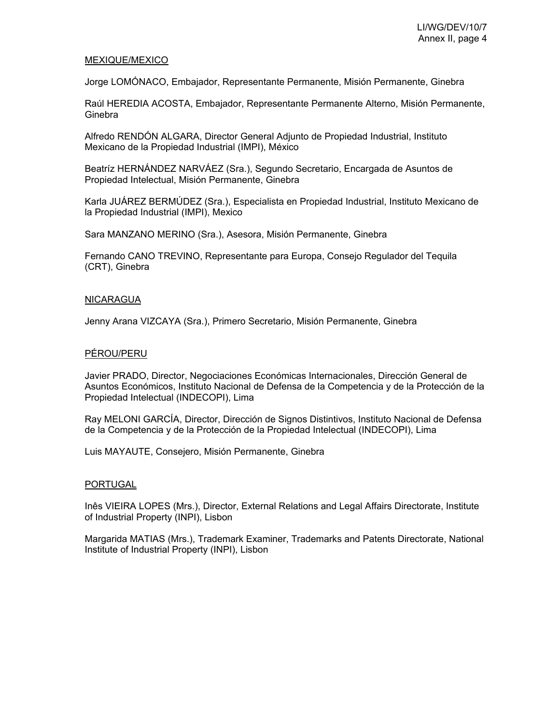### MEXIQUE/MEXICO

Jorge LOMÓNACO, Embajador, Representante Permanente, Misión Permanente, Ginebra

Raúl HEREDIA ACOSTA, Embajador, Representante Permanente Alterno, Misión Permanente, Ginebra

Alfredo RENDÓN ALGARA, Director General Adjunto de Propiedad Industrial, Instituto Mexicano de la Propiedad Industrial (IMPI), México

Beatríz HERNÁNDEZ NARVÁEZ (Sra.), Segundo Secretario, Encargada de Asuntos de Propiedad Intelectual, Misión Permanente, Ginebra

Karla JUÁREZ BERMÚDEZ (Sra.), Especialista en Propiedad Industrial, Instituto Mexicano de la Propiedad Industrial (IMPI), Mexico

Sara MANZANO MERINO (Sra.), Asesora, Misión Permanente, Ginebra

Fernando CANO TREVINO, Representante para Europa, Consejo Regulador del Tequila (CRT), Ginebra

#### NICARAGUA

Jenny Arana VIZCAYA (Sra.), Primero Secretario, Misión Permanente, Ginebra

### PÉROU/PERU

Javier PRADO, Director, Negociaciones Económicas Internacionales, Dirección General de Asuntos Económicos, Instituto Nacional de Defensa de la Competencia y de la Protección de la Propiedad Intelectual (INDECOPI), Lima

Ray MELONI GARCÍA, Director, Dirección de Signos Distintivos, Instituto Nacional de Defensa de la Competencia y de la Protección de la Propiedad Intelectual (INDECOPI), Lima

Luis MAYAUTE, Consejero, Misión Permanente, Ginebra

#### PORTUGAL

Inês VIEIRA LOPES (Mrs.), Director, External Relations and Legal Affairs Directorate, Institute of Industrial Property (INPI), Lisbon

Margarida MATIAS (Mrs.), Trademark Examiner, Trademarks and Patents Directorate, National Institute of Industrial Property (INPI), Lisbon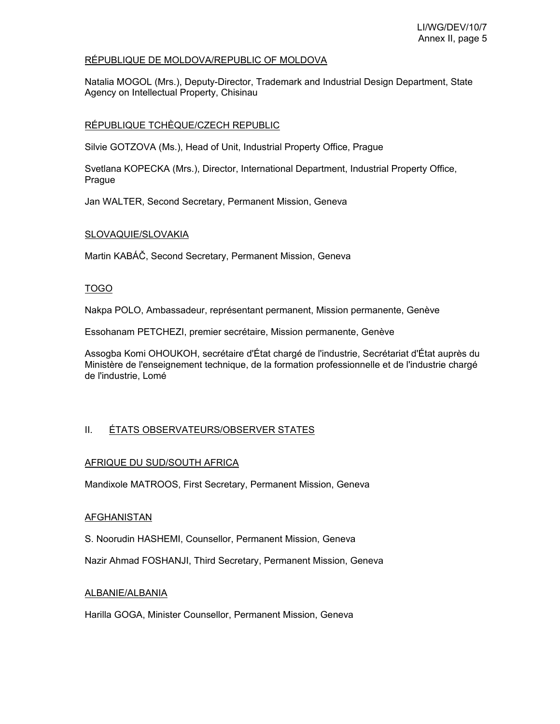# RÉPUBLIQUE DE MOLDOVA/REPUBLIC OF MOLDOVA

Natalia MOGOL (Mrs.), Deputy-Director, Trademark and Industrial Design Department, State Agency on Intellectual Property, Chisinau

# RÉPUBLIQUE TCHÈQUE/CZECH REPUBLIC

Silvie GOTZOVA (Ms.), Head of Unit, Industrial Property Office, Prague

Svetlana KOPECKA (Mrs.), Director, International Department, Industrial Property Office, Prague

Jan WALTER, Second Secretary, Permanent Mission, Geneva

# SLOVAQUIE/SLOVAKIA

Martin KABÁČ, Second Secretary, Permanent Mission, Geneva

# TOGO

Nakpa POLO, Ambassadeur, représentant permanent, Mission permanente, Genève

Essohanam PETCHEZI, premier secrétaire, Mission permanente, Genève

Assogba Komi OHOUKOH, secrétaire d'État chargé de l'industrie, Secrétariat d'État auprès du Ministère de l'enseignement technique, de la formation professionnelle et de l'industrie chargé de l'industrie, Lomé

# II. ÉTATS OBSERVATEURS/OBSERVER STATES

# AFRIQUE DU SUD/SOUTH AFRICA

Mandixole MATROOS, First Secretary, Permanent Mission, Geneva

# **AFGHANISTAN**

S. Noorudin HASHEMI, Counsellor, Permanent Mission, Geneva

Nazir Ahmad FOSHANJI, Third Secretary, Permanent Mission, Geneva

# ALBANIE/ALBANIA

Harilla GOGA, Minister Counsellor, Permanent Mission, Geneva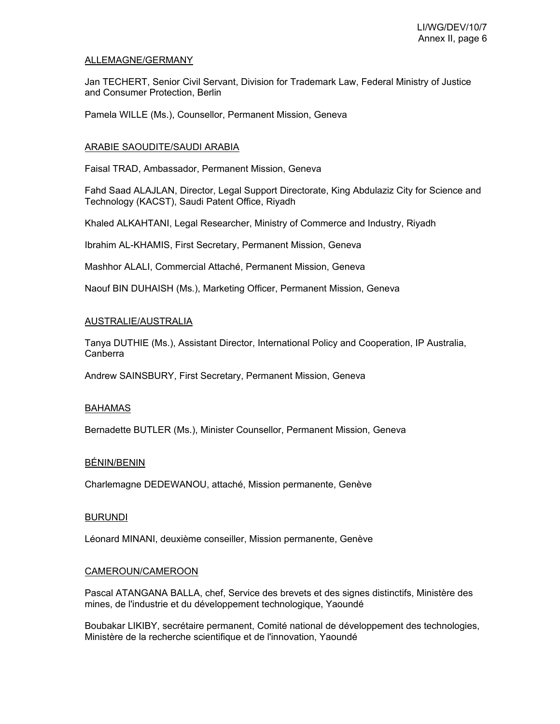### ALLEMAGNE/GERMANY

Jan TECHERT, Senior Civil Servant, Division for Trademark Law, Federal Ministry of Justice and Consumer Protection, Berlin

Pamela WILLE (Ms.), Counsellor, Permanent Mission, Geneva

### ARABIE SAOUDITE/SAUDI ARABIA

Faisal TRAD, Ambassador, Permanent Mission, Geneva

Fahd Saad ALAJLAN, Director, Legal Support Directorate, King Abdulaziz City for Science and Technology (KACST), Saudi Patent Office, Riyadh

Khaled ALKAHTANI, Legal Researcher, Ministry of Commerce and Industry, Riyadh

Ibrahim AL-KHAMIS, First Secretary, Permanent Mission, Geneva

Mashhor ALALI, Commercial Attaché, Permanent Mission, Geneva

Naouf BIN DUHAISH (Ms.), Marketing Officer, Permanent Mission, Geneva

### AUSTRALIE/AUSTRALIA

Tanya DUTHIE (Ms.), Assistant Director, International Policy and Cooperation, IP Australia, Canberra

Andrew SAINSBURY, First Secretary, Permanent Mission, Geneva

### BAHAMAS

Bernadette BUTLER (Ms.), Minister Counsellor, Permanent Mission, Geneva

### BÉNIN/BENIN

Charlemagne DEDEWANOU, attaché, Mission permanente, Genève

### BURUNDI

Léonard MINANI, deuxième conseiller, Mission permanente, Genève

# CAMEROUN/CAMEROON

Pascal ATANGANA BALLA, chef, Service des brevets et des signes distinctifs, Ministère des mines, de l'industrie et du développement technologique, Yaoundé

Boubakar LIKIBY, secrétaire permanent, Comité national de développement des technologies, Ministère de la recherche scientifique et de l'innovation, Yaoundé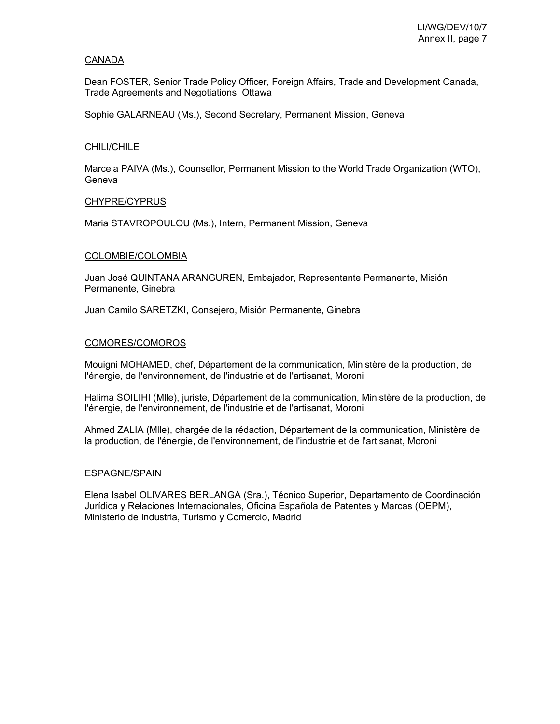### CANADA

Dean FOSTER, Senior Trade Policy Officer, Foreign Affairs, Trade and Development Canada, Trade Agreements and Negotiations, Ottawa

Sophie GALARNEAU (Ms.), Second Secretary, Permanent Mission, Geneva

### CHILI/CHILE

Marcela PAIVA (Ms.), Counsellor, Permanent Mission to the World Trade Organization (WTO), Geneva

### CHYPRE/CYPRUS

Maria STAVROPOULOU (Ms.), Intern, Permanent Mission, Geneva

### COLOMBIE/COLOMBIA

Juan José QUINTANA ARANGUREN, Embajador, Representante Permanente, Misión Permanente, Ginebra

Juan Camilo SARETZKI, Consejero, Misión Permanente, Ginebra

### COMORES/COMOROS

Mouigni MOHAMED, chef, Département de la communication, Ministère de la production, de l'énergie, de l'environnement, de l'industrie et de l'artisanat, Moroni

Halima SOILIHI (Mlle), juriste, Département de la communication, Ministère de la production, de l'énergie, de l'environnement, de l'industrie et de l'artisanat, Moroni

Ahmed ZALIA (Mlle), chargée de la rédaction, Département de la communication, Ministère de la production, de l'énergie, de l'environnement, de l'industrie et de l'artisanat, Moroni

### ESPAGNE/SPAIN

Elena Isabel OLIVARES BERLANGA (Sra.), Técnico Superior, Departamento de Coordinación Jurídica y Relaciones Internacionales, Oficina Española de Patentes y Marcas (OEPM), Ministerio de Industria, Turismo y Comercio, Madrid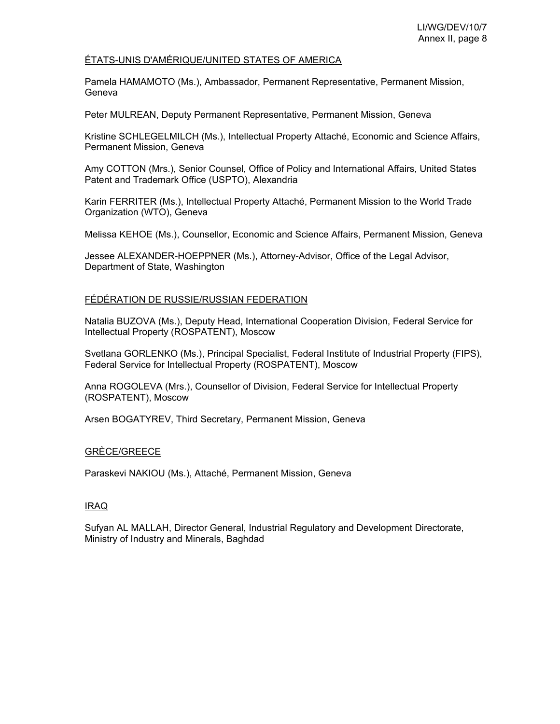### ÉTATS-UNIS D'AMÉRIQUE/UNITED STATES OF AMERICA

Pamela HAMAMOTO (Ms.), Ambassador, Permanent Representative, Permanent Mission, Geneva

Peter MULREAN, Deputy Permanent Representative, Permanent Mission, Geneva

Kristine SCHLEGELMILCH (Ms.), Intellectual Property Attaché, Economic and Science Affairs, Permanent Mission, Geneva

Amy COTTON (Mrs.), Senior Counsel, Office of Policy and International Affairs, United States Patent and Trademark Office (USPTO), Alexandria

Karin FERRITER (Ms.), Intellectual Property Attaché, Permanent Mission to the World Trade Organization (WTO), Geneva

Melissa KEHOE (Ms.), Counsellor, Economic and Science Affairs, Permanent Mission, Geneva

Jessee ALEXANDER-HOEPPNER (Ms.), Attorney-Advisor, Office of the Legal Advisor, Department of State, Washington

### FÉDÉRATION DE RUSSIE/RUSSIAN FEDERATION

Natalia BUZOVA (Ms.), Deputy Head, International Cooperation Division, Federal Service for Intellectual Property (ROSPATENT), Moscow

Svetlana GORLENKO (Ms.), Principal Specialist, Federal Institute of Industrial Property (FIPS), Federal Service for Intellectual Property (ROSPATENT), Moscow

Anna ROGOLEVA (Mrs.), Counsellor of Division, Federal Service for Intellectual Property (ROSPATENT), Moscow

Arsen BOGATYREV, Third Secretary, Permanent Mission, Geneva

### GRÈCE/GREECE

Paraskevi NAKIOU (Ms.), Attaché, Permanent Mission, Geneva

### IRAQ

Sufyan AL MALLAH, Director General, Industrial Regulatory and Development Directorate, Ministry of Industry and Minerals, Baghdad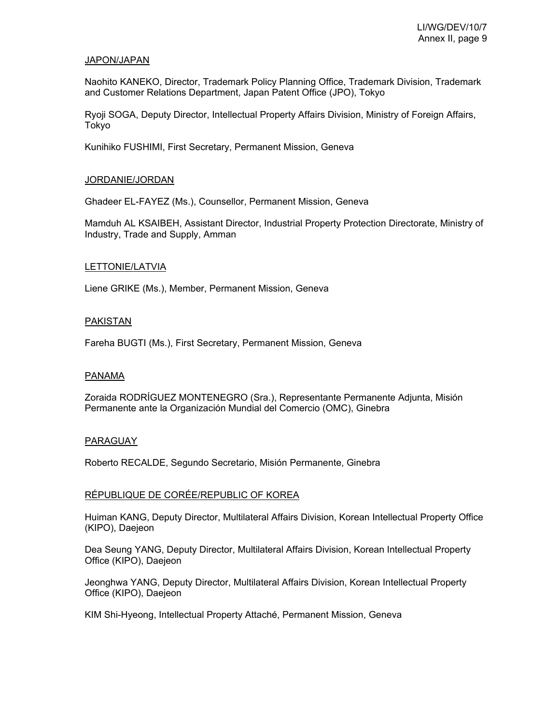#### JAPON/JAPAN

Naohito KANEKO, Director, Trademark Policy Planning Office, Trademark Division, Trademark and Customer Relations Department, Japan Patent Office (JPO), Tokyo

Ryoji SOGA, Deputy Director, Intellectual Property Affairs Division, Ministry of Foreign Affairs, Tokyo

Kunihiko FUSHIMI, First Secretary, Permanent Mission, Geneva

#### JORDANIE/JORDAN

Ghadeer EL-FAYEZ (Ms.), Counsellor, Permanent Mission, Geneva

Mamduh AL KSAIBEH, Assistant Director, Industrial Property Protection Directorate, Ministry of Industry, Trade and Supply, Amman

#### LETTONIE/LATVIA

Liene GRIKE (Ms.), Member, Permanent Mission, Geneva

#### PAKISTAN

Fareha BUGTI (Ms.), First Secretary, Permanent Mission, Geneva

#### PANAMA

Zoraida RODRÍGUEZ MONTENEGRO (Sra.), Representante Permanente Adjunta, Misión Permanente ante la Organización Mundial del Comercio (OMC), Ginebra

#### PARAGUAY

Roberto RECALDE, Segundo Secretario, Misión Permanente, Ginebra

### RÉPUBLIQUE DE CORÉE/REPUBLIC OF KOREA

Huiman KANG, Deputy Director, Multilateral Affairs Division, Korean Intellectual Property Office (KIPO), Daejeon

Dea Seung YANG, Deputy Director, Multilateral Affairs Division, Korean Intellectual Property Office (KIPO), Daejeon

Jeonghwa YANG, Deputy Director, Multilateral Affairs Division, Korean Intellectual Property Office (KIPO), Daejeon

KIM Shi-Hyeong, Intellectual Property Attaché, Permanent Mission, Geneva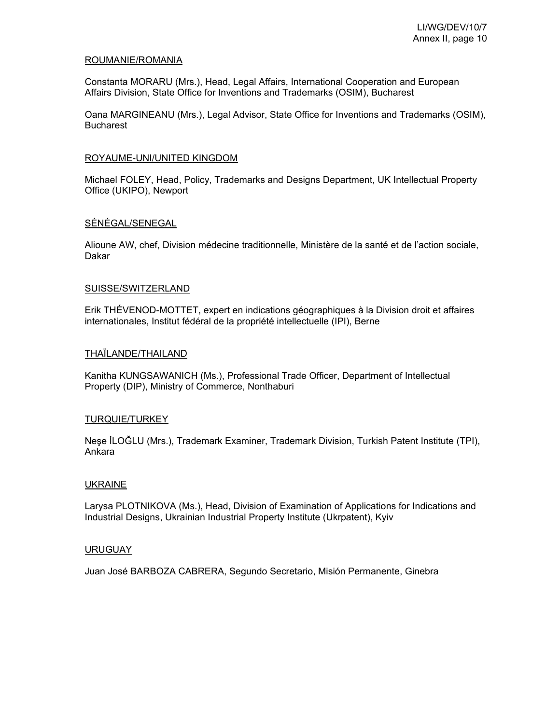### ROUMANIE/ROMANIA

Constanta MORARU (Mrs.), Head, Legal Affairs, International Cooperation and European Affairs Division, State Office for Inventions and Trademarks (OSIM), Bucharest

Oana MARGINEANU (Mrs.), Legal Advisor, State Office for Inventions and Trademarks (OSIM), Bucharest

#### ROYAUME-UNI/UNITED KINGDOM

Michael FOLEY, Head, Policy, Trademarks and Designs Department, UK Intellectual Property Office (UKIPO), Newport

### SÉNÉGAL/SENEGAL

Alioune AW, chef, Division médecine traditionnelle, Ministère de la santé et de l'action sociale, Dakar

#### SUISSE/SWITZERLAND

Erik THÉVENOD-MOTTET, expert en indications géographiques à la Division droit et affaires internationales, Institut fédéral de la propriété intellectuelle (IPI), Berne

#### THAÏLANDE/THAILAND

Kanitha KUNGSAWANICH (Ms.), Professional Trade Officer, Department of Intellectual Property (DIP), Ministry of Commerce, Nonthaburi

### TURQUIE/TURKEY

Neşe İLOĞLU (Mrs.), Trademark Examiner, Trademark Division, Turkish Patent Institute (TPI), Ankara

#### UKRAINE

Larysa PLOTNIKOVA (Ms.), Head, Division of Examination of Applications for Indications and Industrial Designs, Ukrainian Industrial Property Institute (Ukrpatent), Kyiv

### URUGUAY

Juan José BARBOZA CABRERA, Segundo Secretario, Misión Permanente, Ginebra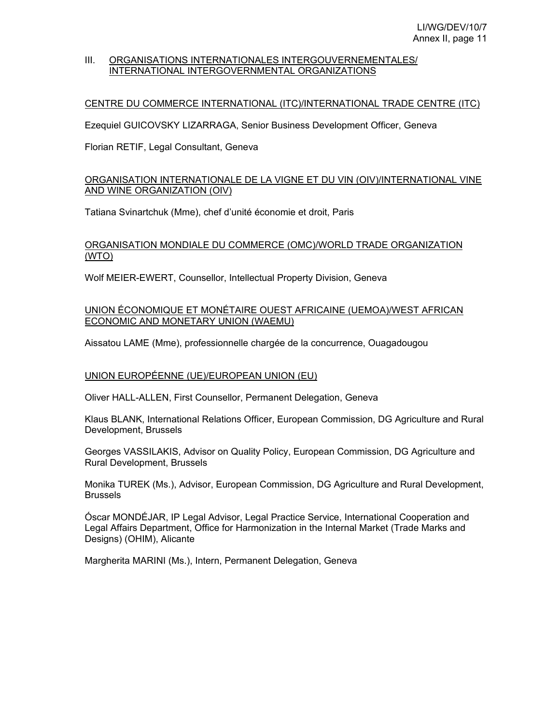### III. ORGANISATIONS INTERNATIONALES INTERGOUVERNEMENTALES/ INTERNATIONAL INTERGOVERNMENTAL ORGANIZATIONS

### CENTRE DU COMMERCE INTERNATIONAL (ITC)/INTERNATIONAL TRADE CENTRE (ITC)

Ezequiel GUICOVSKY LIZARRAGA, Senior Business Development Officer, Geneva

Florian RETIF, Legal Consultant, Geneva

# ORGANISATION INTERNATIONALE DE LA VIGNE ET DU VIN (OIV)/INTERNATIONAL VINE AND WINE ORGANIZATION (OIV)

Tatiana Svinartchuk (Mme), chef d'unité économie et droit, Paris

# ORGANISATION MONDIALE DU COMMERCE (OMC)/WORLD TRADE ORGANIZATION (WTO)

Wolf MEIER-EWERT, Counsellor, Intellectual Property Division, Geneva

# UNION ÉCONOMIQUE ET MONÉTAIRE OUEST AFRICAINE (UEMOA)/WEST AFRICAN ECONOMIC AND MONETARY UNION (WAEMU)

Aissatou LAME (Mme), professionnelle chargée de la concurrence, Ouagadougou

### UNION EUROPÉENNE (UE)/EUROPEAN UNION (EU)

Oliver HALL-ALLEN, First Counsellor, Permanent Delegation, Geneva

Klaus BLANK, International Relations Officer, European Commission, DG Agriculture and Rural Development, Brussels

Georges VASSILAKIS, Advisor on Quality Policy, European Commission, DG Agriculture and Rural Development, Brussels

Monika TUREK (Ms.), Advisor, European Commission, DG Agriculture and Rural Development, **Brussels** 

Óscar MONDÉJAR, IP Legal Advisor, Legal Practice Service, International Cooperation and Legal Affairs Department, Office for Harmonization in the Internal Market (Trade Marks and Designs) (OHIM), Alicante

Margherita MARINI (Ms.), Intern, Permanent Delegation, Geneva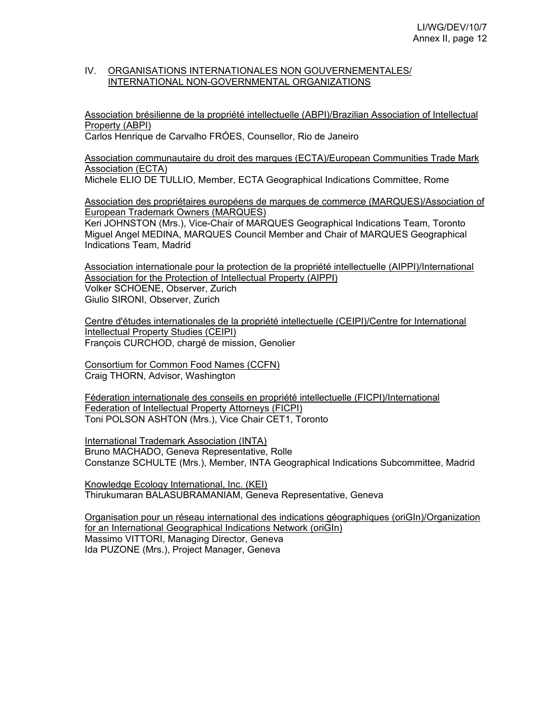### IV. ORGANISATIONS INTERNATIONALES NON GOUVERNEMENTALES/ INTERNATIONAL NON-GOVERNMENTAL ORGANIZATIONS

Association brésilienne de la propriété intellectuelle (ABPI)/Brazilian Association of Intellectual Property (ABPI)

Carlos Henrique de Carvalho FRÓES, Counsellor, Rio de Janeiro

Association communautaire du droit des marques (ECTA)/European Communities Trade Mark Association (ECTA)

Michele ELIO DE TULLIO, Member, ECTA Geographical Indications Committee, Rome

Association des propriétaires européens de marques de commerce (MARQUES)/Association of European Trademark Owners (MARQUES)

Keri JOHNSTON (Mrs.), Vice-Chair of MARQUES Geographical Indications Team, Toronto Miguel Angel MEDINA, MARQUES Council Member and Chair of MARQUES Geographical Indications Team, Madrid

Association internationale pour la protection de la propriété intellectuelle (AIPPI)/International Association for the Protection of Intellectual Property (AIPPI) Volker SCHOENE, Observer, Zurich Giulio SIRONI, Observer, Zurich

Centre d'études internationales de la propriété intellectuelle (CEIPI)/Centre for International Intellectual Property Studies (CEIPI) François CURCHOD, chargé de mission, Genolier

Consortium for Common Food Names (CCFN) Craig THORN, Advisor, Washington

Féderation internationale des conseils en propriété intellectuelle (FICPI)/International Federation of Intellectual Property Attorneys (FICPI) Toni POLSON ASHTON (Mrs.), Vice Chair CET1, Toronto

International Trademark Association (INTA) Bruno MACHADO, Geneva Representative, Rolle Constanze SCHULTE (Mrs.), Member, INTA Geographical Indications Subcommittee, Madrid

Knowledge Ecology International, Inc. (KEI) Thirukumaran BALASUBRAMANIAM, Geneva Representative, Geneva

Organisation pour un réseau international des indications géographiques (oriGIn)/Organization for an International Geographical Indications Network (oriGIn) Massimo VITTORI, Managing Director, Geneva Ida PUZONE (Mrs.), Project Manager, Geneva